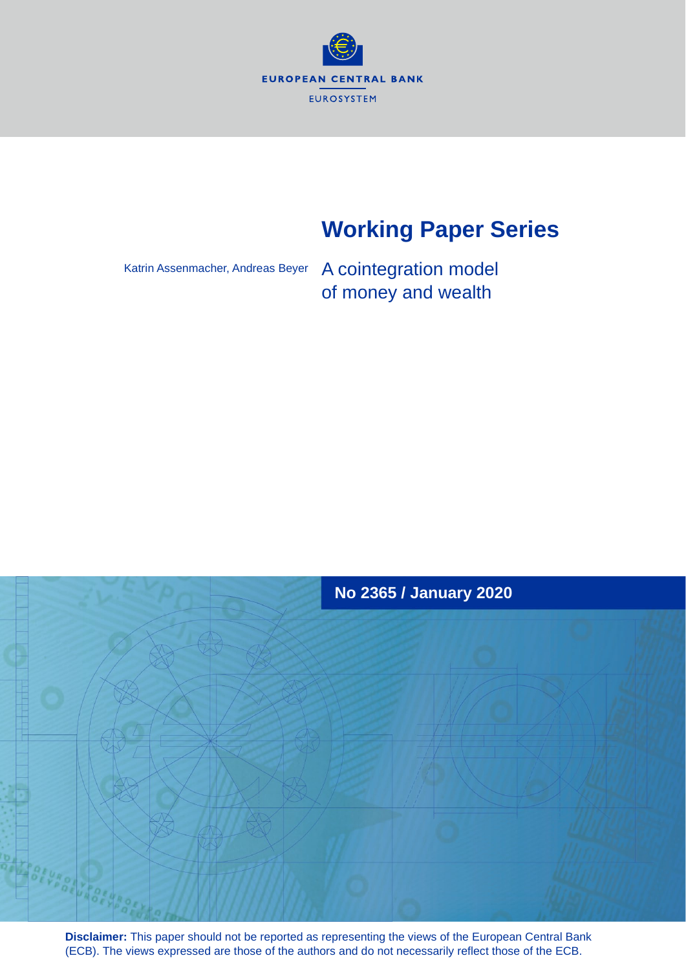

# **Working Paper Series**

Katrin Assenmacher, Andreas Beyer

A cointegration model of money and wealth



**Disclaimer:** This paper should not be reported as representing the views of the European Central Bank (ECB). The views expressed are those of the authors and do not necessarily reflect those of the ECB.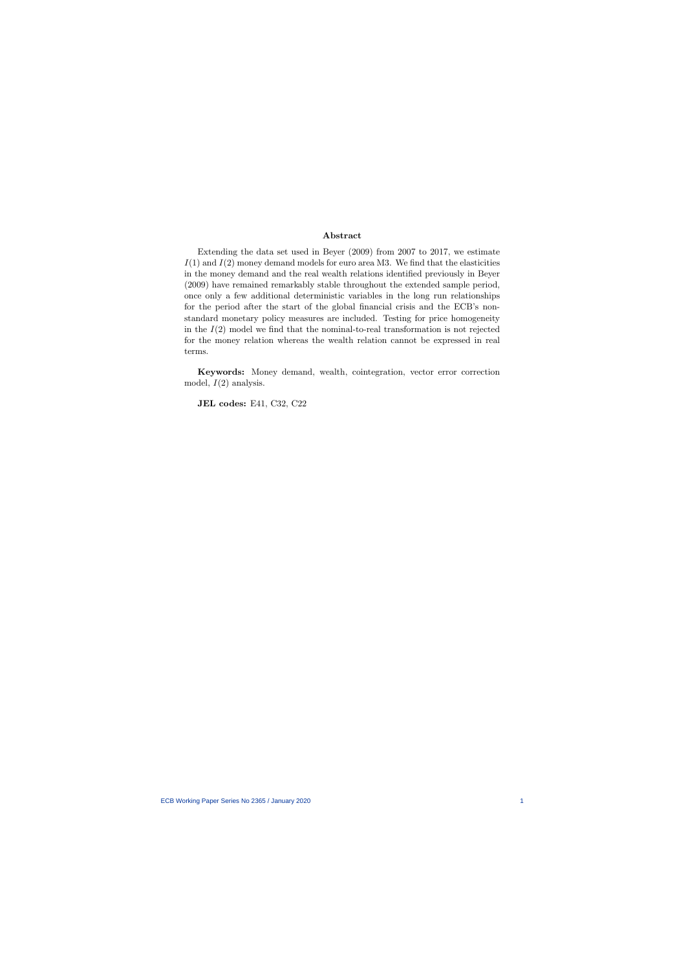#### Abstract

Extending the data set used in Beyer (2009) from 2007 to 2017, we estimate  $I(1)$  and  $I(2)$  money demand models for euro area M3. We find that the elasticities in the money demand and the real wealth relations identified previously in Beyer (2009) have remained remarkably stable throughout the extended sample period, once only a few additional deterministic variables in the long run relationships for the period after the start of the global financial crisis and the ECB's nonstandard monetary policy measures are included. Testing for price homogeneity in the  $I(2)$  model we find that the nominal-to-real transformation is not rejected for the money relation whereas the wealth relation cannot be expressed in real terms.

Keywords: Money demand, wealth, cointegration, vector error correction model,  $I(2)$  analysis.

JEL codes: E41, C32, C22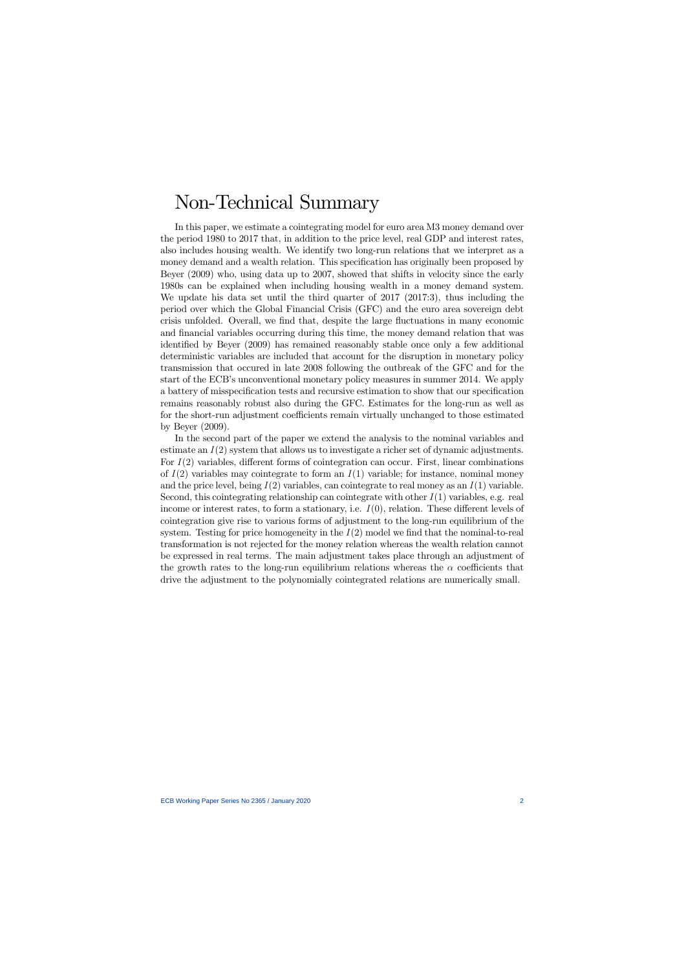# Non-Technical Summary

In this paper, we estimate a cointegrating model for euro area M3 money demand over the period 1980 to 2017 that, in addition to the price level, real GDP and interest rates, also includes housing wealth. We identify two long-run relations that we interpret as a money demand and a wealth relation. This specification has originally been proposed by Beyer (2009) who, using data up to 2007, showed that shifts in velocity since the early 1980s can be explained when including housing wealth in a money demand system. We update his data set until the third quarter of 2017 (2017:3), thus including the period over which the Global Financial Crisis (GFC) and the euro area sovereign debt crisis unfolded. Overall, we find that, despite the large fluctuations in many economic and financial variables occurring during this time, the money demand relation that was identified by Beyer (2009) has remained reasonably stable once only a few additional deterministic variables are included that account for the disruption in monetary policy transmission that occured in late 2008 following the outbreak of the GFC and for the start of the ECB's unconventional monetary policy measures in summer 2014. We apply a battery of misspecification tests and recursive estimation to show that our specification remains reasonably robust also during the GFC. Estimates for the long-run as well as for the short-run adjustment coefficients remain virtually unchanged to those estimated by Beyer (2009).

In the second part of the paper we extend the analysis to the nominal variables and estimate an  $I(2)$  system that allows us to investigate a richer set of dynamic adjustments. For  $I(2)$  variables, different forms of cointegration can occur. First, linear combinations of  $I(2)$  variables may cointegrate to form an  $I(1)$  variable; for instance, nominal money and the price level, being  $I(2)$  variables, can cointegrate to real money as an  $I(1)$  variable. Second, this cointegrating relationship can cointegrate with other  $I(1)$  variables, e.g. real income or interest rates, to form a stationary, i.e.  $I(0)$ , relation. These different levels of cointegration give rise to various forms of adjustment to the long-run equilibrium of the system. Testing for price homogeneity in the  $I(2)$  model we find that the nominal-to-real transformation is not rejected for the money relation whereas the wealth relation cannot be expressed in real terms. The main adjustment takes place through an adjustment of the growth rates to the long-run equilibrium relations whereas the  $\alpha$  coefficients that drive the adjustment to the polynomially cointegrated relations are numerically small.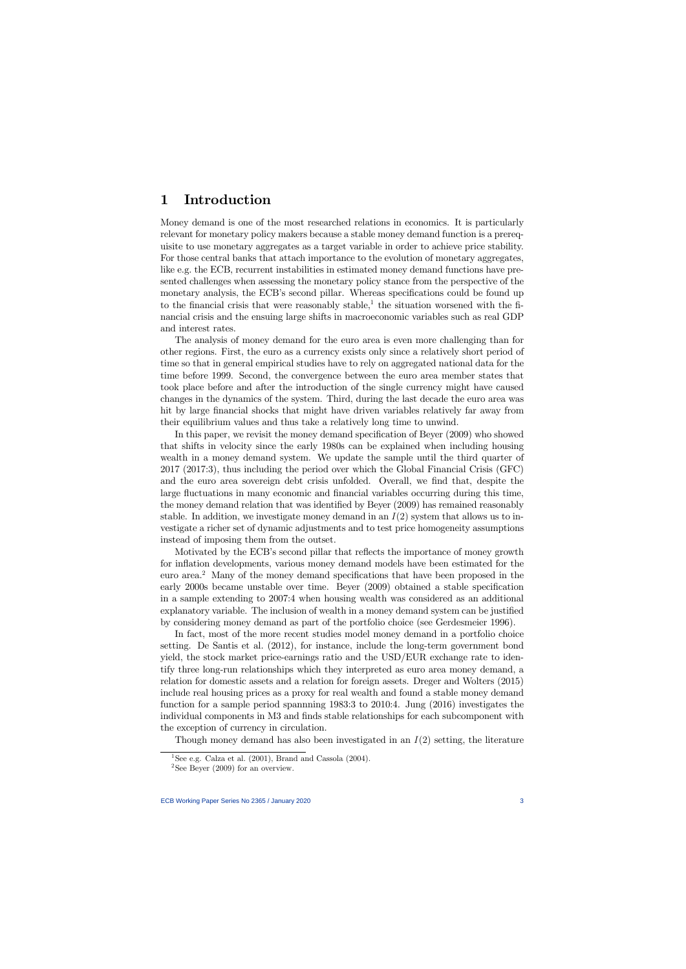# 1 Introduction

Money demand is one of the most researched relations in economics. It is particularly relevant for monetary policy makers because a stable money demand function is a prerequisite to use monetary aggregates as a target variable in order to achieve price stability. For those central banks that attach importance to the evolution of monetary aggregates, like e.g. the ECB, recurrent instabilities in estimated money demand functions have presented challenges when assessing the monetary policy stance from the perspective of the monetary analysis, the ECB's second pillar. Whereas specifications could be found up to the financial crisis that were reasonably stable,<sup>1</sup> the situation worsened with the financial crisis and the ensuing large shifts in macroeconomic variables such as real GDP and interest rates.

The analysis of money demand for the euro area is even more challenging than for other regions. First, the euro as a currency exists only since a relatively short period of time so that in general empirical studies have to rely on aggregated national data for the time before 1999. Second, the convergence between the euro area member states that took place before and after the introduction of the single currency might have caused changes in the dynamics of the system. Third, during the last decade the euro area was hit by large financial shocks that might have driven variables relatively far away from their equilibrium values and thus take a relatively long time to unwind.

In this paper, we revisit the money demand specification of Beyer  $(2009)$  who showed that shifts in velocity since the early 1980s can be explained when including housing wealth in a money demand system. We update the sample until the third quarter of 2017 (2017:3), thus including the period over which the Global Financial Crisis (GFC) and the euro area sovereign debt crisis unfolded. Overall, we find that, despite the large fluctuations in many economic and financial variables occurring during this time, the money demand relation that was identified by Beyer (2009) has remained reasonably stable. In addition, we investigate money demand in an  $I(2)$  system that allows us to investigate a richer set of dynamic adjustments and to test price homogeneity assumptions instead of imposing them from the outset.

Motivated by the ECB's second pillar that reflects the importance of money growth for inflation developments, various money demand models have been estimated for the euro area.<sup>2</sup> Many of the money demand specifications that have been proposed in the early 2000s became unstable over time. Beyer (2009) obtained a stable specification in a sample extending to 2007:4 when housing wealth was considered as an additional explanatory variable. The inclusion of wealth in a money demand system can be justified by considering money demand as part of the portfolio choice (see Gerdesmeier 1996).

In fact, most of the more recent studies model money demand in a portfolio choice setting. De Santis et al. (2012), for instance, include the long-term government bond yield, the stock market price-earnings ratio and the USD/EUR exchange rate to identify three long-run relationships which they interpreted as euro area money demand, a relation for domestic assets and a relation for foreign assets. Dreger and Wolters (2015) include real housing prices as a proxy for real wealth and found a stable money demand function for a sample period spannning 1983:3 to 2010:4. Jung (2016) investigates the individual components in M3 and finds stable relationships for each subcomponent with the exception of currency in circulation.

Though money demand has also been investigated in an  $I(2)$  setting, the literature

<sup>&</sup>lt;sup>1</sup>See e.g. Calza et al.  $(2001)$ , Brand and Cassola  $(2004)$ .

<sup>&</sup>lt;sup>2</sup>See Beyer (2009) for an overview.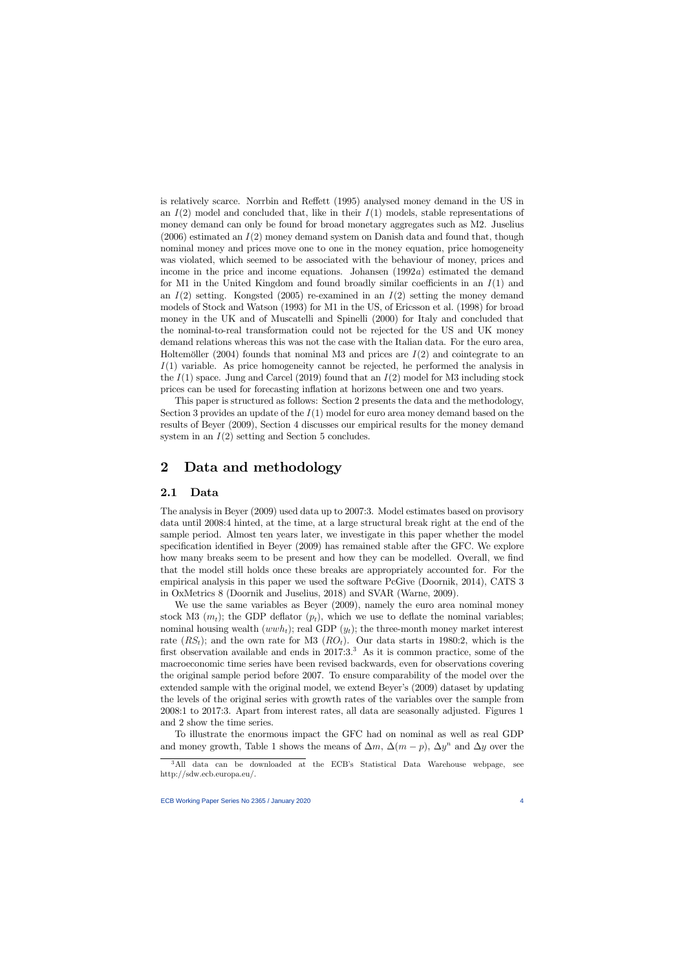is relatively scarce. Norrbin and Reffett (1995) analysed money demand in the US in an  $I(2)$  model and concluded that, like in their  $I(1)$  models, stable representations of money demand can only be found for broad monetary aggregates such as M2. Juselius  $(2006)$  estimated an  $I(2)$  money demand system on Danish data and found that, though nominal money and prices move one to one in the money equation, price homogeneity was violated, which seemed to be associated with the behaviour of money, prices and income in the price and income equations. Johansen  $(1992a)$  estimated the demand for M1 in the United Kingdom and found broadly similar coefficients in an  $I(1)$  and an  $I(2)$  setting. Kongsted (2005) re-examined in an  $I(2)$  setting the money demand models of Stock and Watson (1993) for M1 in the US, of Ericsson et al. (1998) for broad money in the UK and of Muscatelli and Spinelli (2000) for Italy and concluded that the nominal-to-real transformation could not be rejected for the US and UK money demand relations whereas this was not the case with the Italian data. For the euro area, Holtemöller (2004) founds that nominal M3 and prices are  $I(2)$  and cointegrate to an  $I(1)$  variable. As price homogeneity cannot be rejected, he performed the analysis in the  $I(1)$  space. Jung and Carcel (2019) found that an  $I(2)$  model for M3 including stock prices can be used for forecasting ináation at horizons between one and two years.

This paper is structured as follows: Section 2 presents the data and the methodology, Section 3 provides an update of the  $I(1)$  model for euro area money demand based on the results of Beyer (2009), Section 4 discusses our empirical results for the money demand system in an  $I(2)$  setting and Section 5 concludes.

# 2 Data and methodology

#### 2.1 Data

The analysis in Beyer (2009) used data up to 2007:3. Model estimates based on provisory data until 2008:4 hinted, at the time, at a large structural break right at the end of the sample period. Almost ten years later, we investigate in this paper whether the model specification identified in Beyer  $(2009)$  has remained stable after the GFC. We explore how many breaks seem to be present and how they can be modelled. Overall, we find that the model still holds once these breaks are appropriately accounted for. For the empirical analysis in this paper we used the software PcGive (Doornik, 2014), CATS 3 in OxMetrics 8 (Doornik and Juselius, 2018) and SVAR (Warne, 2009).

We use the same variables as Beyer (2009), namely the euro area nominal money stock M3  $(m_t)$ ; the GDP deflator  $(p_t)$ , which we use to deflate the nominal variables; nominal housing wealth  $(wwh_t)$ ; real GDP  $(y_t)$ ; the three-month money market interest rate  $(RS_t)$ ; and the own rate for M3  $(RO_t)$ . Our data starts in 1980:2, which is the first observation available and ends in  $2017:3.^3$  As it is common practice, some of the macroeconomic time series have been revised backwards, even for observations covering the original sample period before 2007. To ensure comparability of the model over the extended sample with the original model, we extend Beyer's (2009) dataset by updating the levels of the original series with growth rates of the variables over the sample from 2008:1 to 2017:3. Apart from interest rates, all data are seasonally adjusted. Figures 1 and 2 show the time series.

To illustrate the enormous impact the GFC had on nominal as well as real GDP and money growth, Table 1 shows the means of  $\Delta m$ ,  $\Delta (m - p)$ ,  $\Delta y^n$  and  $\Delta y$  over the

<sup>&</sup>lt;sup>3</sup>All data can be downloaded at the ECB's Statistical Data Warehouse webpage, see http://sdw.ecb.europa.eu/.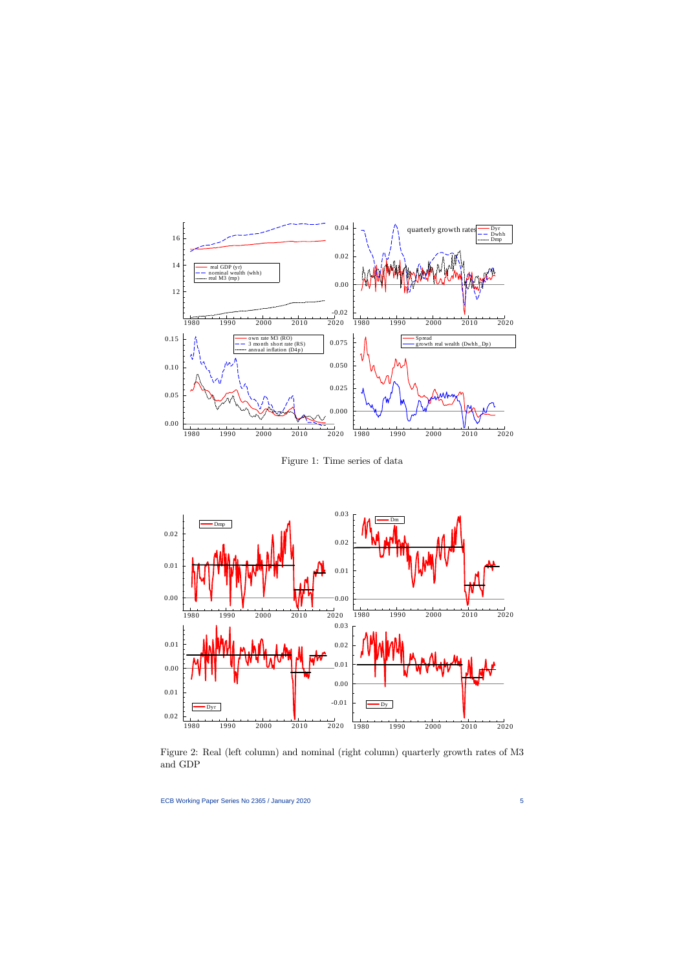

Figure 1: Time series of data



Figure 2: Real (left column) and nominal (right column) quarterly growth rates of M3 and GDP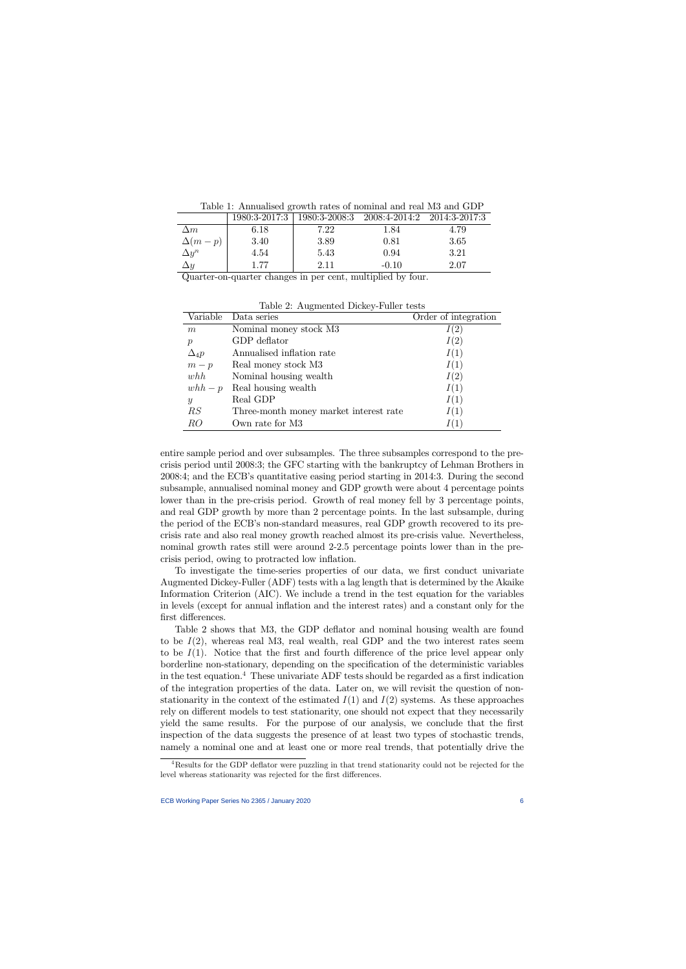| Lable 1. Allingalised growth rates of hominial and real mo and ODT |      |      |                                                           |      |  |  |  |  |  |
|--------------------------------------------------------------------|------|------|-----------------------------------------------------------|------|--|--|--|--|--|
|                                                                    |      |      | 1980:3-2017:3   1980:3-2008:3 2008:4-2014:2 2014:3-2017:3 |      |  |  |  |  |  |
| $\Delta m$                                                         | 6.18 | 7.22 | 1.84                                                      | 4.79 |  |  |  |  |  |
| $\Delta(m-p)$                                                      | 3.40 | 3.89 | 0.81                                                      | 3.65 |  |  |  |  |  |
|                                                                    |      |      |                                                           |      |  |  |  |  |  |

 $n \begin{array}{|l|l|} \hline \end{array}$  4.54  $\begin{array}{|l|} \hline \end{array}$  5.43 0.94 3.21  $\Delta y$  1.77 2.11  $-0.10$  2.07

Table 1: Annualised growth rates of nominal and real M3 and GDP

Quarter-on-quarter changes in per cent, multiplied by four.

 $\Delta y^n$ 

| Table 2: Augmented Dickey-Fuller tests |                                        |                      |  |  |  |  |  |  |
|----------------------------------------|----------------------------------------|----------------------|--|--|--|--|--|--|
| Variable                               | Data series                            | Order of integration |  |  |  |  |  |  |
| m                                      | Nominal money stock M3                 | I(2)                 |  |  |  |  |  |  |
| $\mathcal{p}$                          | GDP deflator                           | I(2)                 |  |  |  |  |  |  |
| $\Delta_4 p$                           | Annualised inflation rate              | I(1)                 |  |  |  |  |  |  |
| $m-p$                                  | Real money stock M3                    | I(1)                 |  |  |  |  |  |  |
| whh                                    | Nominal housing wealth                 | I(2)                 |  |  |  |  |  |  |
| $whh-p$                                | Real housing wealth                    | I(1)                 |  |  |  |  |  |  |
| $\boldsymbol{y}$                       | Real GDP                               | I(1)                 |  |  |  |  |  |  |
| RS                                     | Three-month money market interest rate | I(1)                 |  |  |  |  |  |  |
| RO                                     | Own rate for M3                        | I(1)                 |  |  |  |  |  |  |

entire sample period and over subsamples. The three subsamples correspond to the precrisis period until 2008:3; the GFC starting with the bankruptcy of Lehman Brothers in 2008:4; and the ECB's quantitative easing period starting in 2014:3. During the second subsample, annualised nominal money and GDP growth were about 4 percentage points lower than in the pre-crisis period. Growth of real money fell by 3 percentage points, and real GDP growth by more than 2 percentage points. In the last subsample, during the period of the ECB's non-standard measures, real GDP growth recovered to its precrisis rate and also real money growth reached almost its pre-crisis value. Nevertheless, nominal growth rates still were around 2-2.5 percentage points lower than in the precrisis period, owing to protracted low inflation.

To investigate the time-series properties of our data, we first conduct univariate Augmented Dickey-Fuller (ADF) tests with a lag length that is determined by the Akaike Information Criterion (AIC). We include a trend in the test equation for the variables in levels (except for annual ináation and the interest rates) and a constant only for the first differences.

Table 2 shows that M3, the GDP deflator and nominal housing wealth are found to be  $I(2)$ , whereas real M3, real wealth, real GDP and the two interest rates seem to be  $I(1)$ . Notice that the first and fourth difference of the price level appear only borderline non-stationary, depending on the specification of the deterministic variables in the test equation.<sup>4</sup> These univariate ADF tests should be regarded as a first indication of the integration properties of the data. Later on, we will revisit the question of nonstationarity in the context of the estimated  $I(1)$  and  $I(2)$  systems. As these approaches rely on different models to test stationarity, one should not expect that they necessarily yield the same results. For the purpose of our analysis, we conclude that the first inspection of the data suggests the presence of at least two types of stochastic trends, namely a nominal one and at least one or more real trends, that potentially drive the

<sup>&</sup>lt;sup>4</sup>Results for the GDP deflator were puzzling in that trend stationarity could not be rejected for the level whereas stationarity was rejected for the first differences.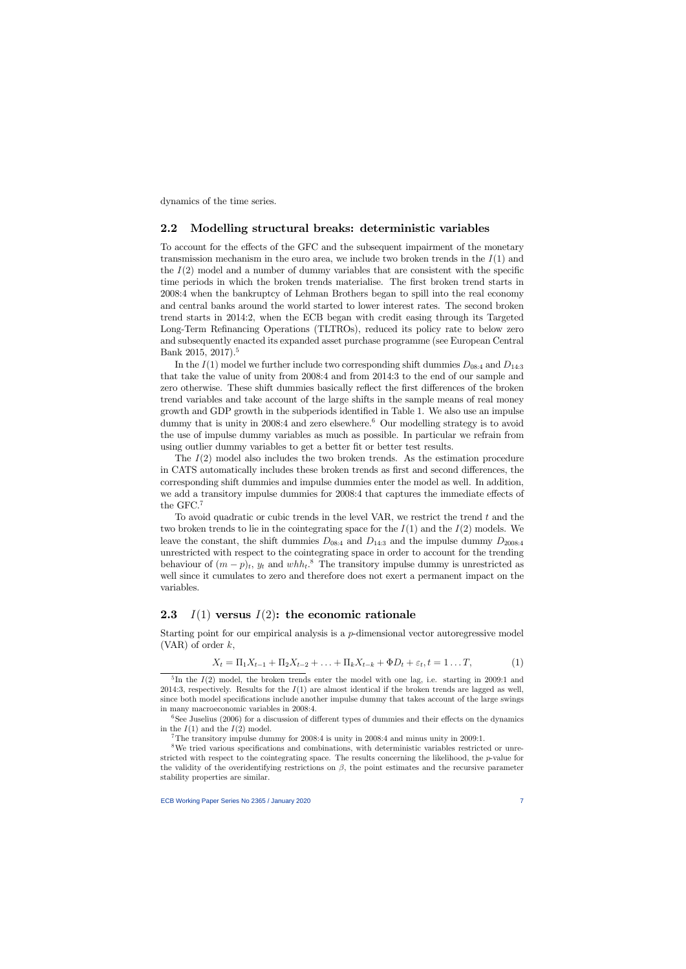dynamics of the time series.

### 2.2 Modelling structural breaks: deterministic variables

To account for the effects of the GFC and the subsequent impairment of the monetary transmission mechanism in the euro area, we include two broken trends in the  $I(1)$  and the  $I(2)$  model and a number of dummy variables that are consistent with the specific time periods in which the broken trends materialise. The first broken trend starts in 2008:4 when the bankruptcy of Lehman Brothers began to spill into the real economy and central banks around the world started to lower interest rates. The second broken trend starts in 2014:2, when the ECB began with credit easing through its Targeted Long-Term Refinancing Operations (TLTROs), reduced its policy rate to below zero and subsequently enacted its expanded asset purchase programme (see European Central Bank 2015, 2017).<sup>5</sup>

In the  $I(1)$  model we further include two corresponding shift dummies  $D_{08:4}$  and  $D_{14:3}$ that take the value of unity from 2008:4 and from 2014:3 to the end of our sample and zero otherwise. These shift dummies basically reflect the first differences of the broken trend variables and take account of the large shifts in the sample means of real money growth and GDP growth in the subperiods identified in Table 1. We also use an impulse dummy that is unity in 2008:4 and zero elsewhere.<sup>6</sup> Our modelling strategy is to avoid the use of impulse dummy variables as much as possible. In particular we refrain from using outlier dummy variables to get a better fit or better test results.

The  $I(2)$  model also includes the two broken trends. As the estimation procedure in CATS automatically includes these broken trends as first and second differences, the corresponding shift dummies and impulse dummies enter the model as well. In addition, we add a transitory impulse dummies for 2008:4 that captures the immediate effects of the GFC.<sup>7</sup>

To avoid quadratic or cubic trends in the level VAR, we restrict the trend  $t$  and the two broken trends to lie in the cointegrating space for the  $I(1)$  and the  $I(2)$  models. We leave the constant, the shift dummies  $D_{08:4}$  and  $D_{14:3}$  and the impulse dummy  $D_{2008:4}$ unrestricted with respect to the cointegrating space in order to account for the trending behaviour of  $(m-p)_t$ ,  $y_t$  and  $whh_t$ <sup>8</sup>. The transitory impulse dummy is unrestricted as well since it cumulates to zero and therefore does not exert a permanent impact on the variables.

## 2.3  $I(1)$  versus  $I(2)$ : the economic rationale

Starting point for our empirical analysis is a  $p$ -dimensional vector autoregressive model  $(VAR)$  of order k,

$$
X_t = \Pi_1 X_{t-1} + \Pi_2 X_{t-2} + \ldots + \Pi_k X_{t-k} + \Phi D_t + \varepsilon_t, t = 1 \ldots T,
$$
 (1)

<sup>5</sup>In the  $I(2)$  model, the broken trends enter the model with one lag, i.e. starting in 2009:1 and 2014:3, respectively. Results for the  $I(1)$  are almost identical if the broken trends are lagged as well, since both model specifications include another impulse dummy that takes account of the large swings in many macroeconomic variables in 2008:4.

 $6$ See Juselius (2006) for a discussion of different types of dummies and their effects on the dynamics in the  $I(1)$  and the  $I(2)$  model.

<sup>7</sup>The transitory impulse dummy for 2008:4 is unity in 2008:4 and minus unity in 2009:1.

 $8$ We tried various specifications and combinations, with deterministic variables restricted or unrestricted with respect to the cointegrating space. The results concerning the likelihood, the  $p$ -value for the validity of the overidentifying restrictions on  $\beta$ , the point estimates and the recursive parameter stability properties are similar.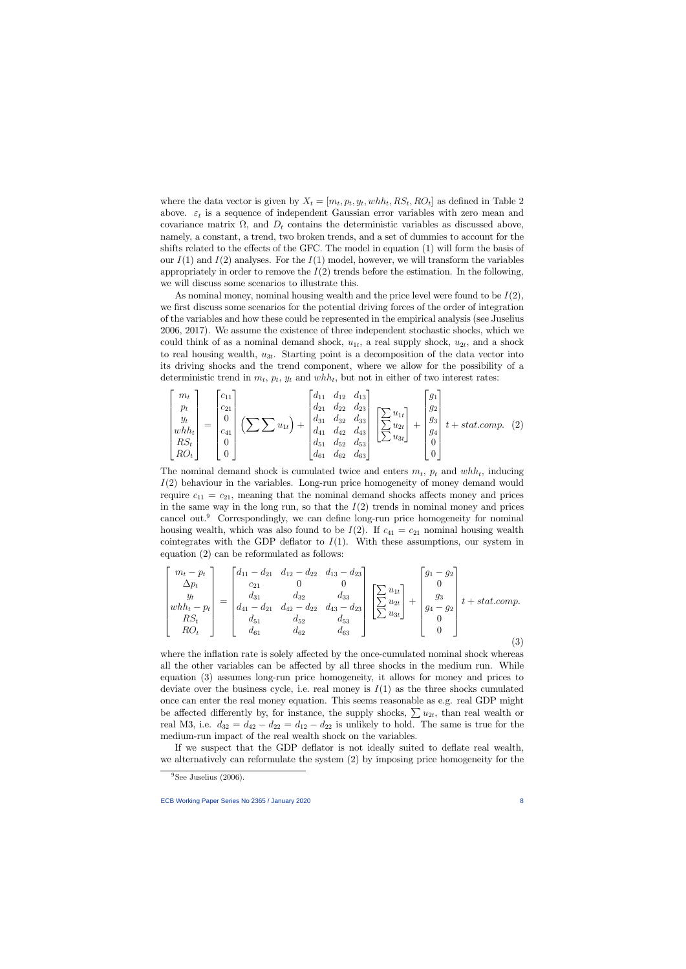where the data vector is given by  $X_t = [m_t, p_t, y_t, whh_t, RS_t, RO_t]$  as defined in Table 2 above.  $\varepsilon_t$  is a sequence of independent Gaussian error variables with zero mean and covariance matrix  $\Omega$ , and  $D_t$  contains the deterministic variables as discussed above, namely, a constant, a trend, two broken trends, and a set of dummies to account for the shifts related to the effects of the GFC. The model in equation  $(1)$  will form the basis of our  $I(1)$  and  $I(2)$  analyses. For the  $I(1)$  model, however, we will transform the variables appropriately in order to remove the  $I(2)$  trends before the estimation. In the following, we will discuss some scenarios to illustrate this.

As nominal money, nominal housing wealth and the price level were found to be  $I(2)$ , we first discuss some scenarios for the potential driving forces of the order of integration of the variables and how these could be represented in the empirical analysis (see Juselius 2006, 2017). We assume the existence of three independent stochastic shocks, which we could think of as a nominal demand shock,  $u_{1t}$ , a real supply shock,  $u_{2t}$ , and a shock to real housing wealth,  $u_{3t}$ . Starting point is a decomposition of the data vector into its driving shocks and the trend component, where we allow for the possibility of a deterministic trend in  $m_t$ ,  $p_t$ ,  $y_t$  and  $wh_t$ , but not in either of two interest rates:

$$
\begin{bmatrix} m_t \\ p_t \\ y_t \\ whh_t \\ RS_t \\ RO_t \end{bmatrix} = \begin{bmatrix} c_{11} \\ c_{21} \\ 0 \\ c_{41} \\ 0 \\ 0 \end{bmatrix} \left( \sum \sum u_{1t} \right) + \begin{bmatrix} d_{11} & d_{12} & d_{13} \\ d_{21} & d_{22} & d_{23} \\ d_{31} & d_{32} & d_{33} \\ d_{41} & d_{42} & d_{43} \\ d_{51} & d_{52} & d_{53} \\ d_{61} & d_{62} & d_{63} \end{bmatrix} \begin{bmatrix} \sum u_{1t} \\ \sum u_{2t} \\ \sum u_{3t} \\ 0 \\ 0 \end{bmatrix} + \begin{bmatrix} g_1 \\ g_2 \\ g_3 \\ g_4 \\ 0 \\ 0 \end{bmatrix} t + statcomp. (2)
$$

The nominal demand shock is cumulated twice and enters  $m_t$ ,  $p_t$  and  $wh_t$ , inducing  $I(2)$  behaviour in the variables. Long-run price homogeneity of money demand would require  $c_{11} = c_{21}$ , meaning that the nominal demand shocks affects money and prices in the same way in the long run, so that the  $I(2)$  trends in nominal money and prices cancel out.<sup>9</sup> Correspondingly, we can define long-run price homogeneity for nominal housing wealth, which was also found to be  $I(2)$ . If  $c_{41} = c_{21}$  nominal housing wealth cointegrates with the GDP deflator to  $I(1)$ . With these assumptions, our system in equation (2) can be reformulated as follows:

$$
\begin{bmatrix}\nm_t - p_t \\
\Delta p_t \\
y_t \\
wh_{t} - p_t \\
RS_t \\
RO_t\n\end{bmatrix} = \begin{bmatrix}\nd_{11} - d_{21} & d_{12} - d_{22} & d_{13} - d_{23} \\
c_{21} & 0 & 0 \\
d_{31} & d_{32} & d_{33} \\
d_{41} - d_{21} & d_{42} - d_{22} & d_{43} - d_{23} \\
d_{51} & d_{52} & d_{53} \\
d_{61} & d_{62} & d_{63}\n\end{bmatrix} \begin{bmatrix}\n\sum u_{1t} \\
\sum u_{2t} \\
\sum u_{3t}\n\end{bmatrix} + \begin{bmatrix}\ng_1 - g_2 \\
0 \\
g_3 \\
g_4 - g_2 \\
0 \\
0\n\end{bmatrix} t + statcomp.
$$
\n(3)

where the inflation rate is solely affected by the once-cumulated nominal shock whereas all the other variables can be affected by all three shocks in the medium run. While equation (3) assumes long-run price homogeneity, it allows for money and prices to deviate over the business cycle, i.e. real money is  $I(1)$  as the three shocks cumulated once can enter the real money equation. This seems reasonable as e.g. real GDP might be affected differently by, for instance, the supply shocks,  $\sum u_{2t}$ , than real wealth or real M3, i.e.  $d_{32} = d_{42} - d_{22} = d_{12} - d_{22}$  is unlikely to hold. The same is true for the medium-run impact of the real wealth shock on the variables.

If we suspect that the GDP deflator is not ideally suited to deflate real wealth, we alternatively can reformulate the system (2) by imposing price homogeneity for the

 $9$ See Juselius (2006).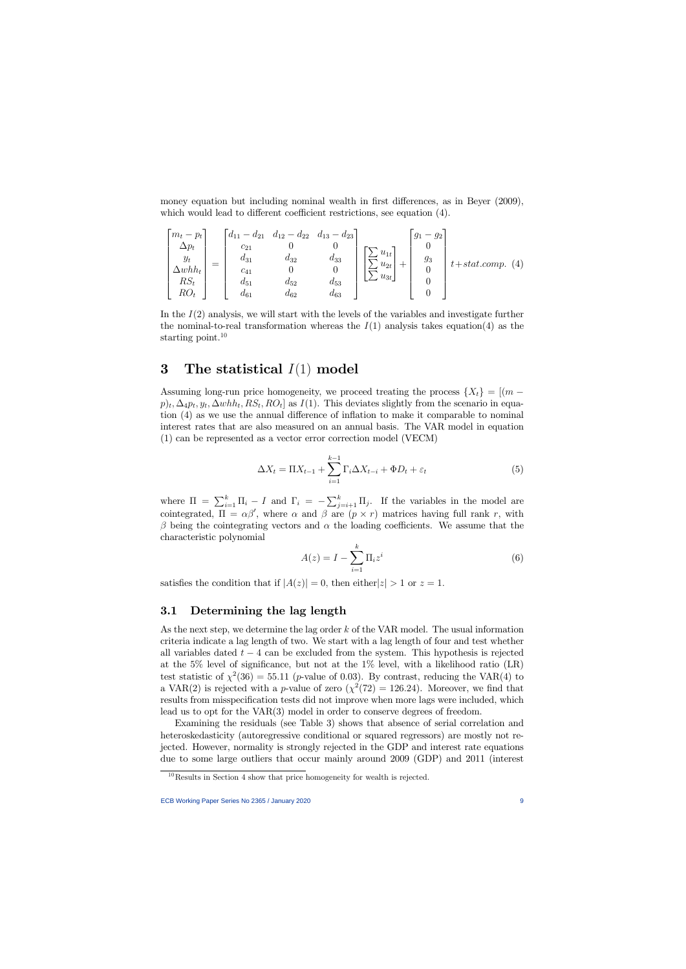money equation but including nominal wealth in first differences, as in Beyer (2009), which would lead to different coefficient restrictions, see equation (4).

$$
\begin{bmatrix} m_t - p_t \\ \Delta p_t \\ y_t \\ \Delta whh_t \\ RS_t \\ RO_t \end{bmatrix} = \begin{bmatrix} d_{11} - d_{21} & d_{12} - d_{22} & d_{13} - d_{23} \\ c_{21} & 0 & 0 \\ d_{31} & d_{32} & d_{33} \\ c_{41} & 0 & 0 \\ d_{51} & d_{52} & d_{53} \\ d_{61} & d_{62} & d_{63} \end{bmatrix} \begin{bmatrix} \sum u_{1t} \\ \sum u_{2t} \\ \sum u_{3t} \end{bmatrix} + \begin{bmatrix} g_1 - g_2 \\ 0 \\ g_3 \\ 0 \\ 0 \end{bmatrix} t + statcomp. (4)
$$

In the  $I(2)$  analysis, we will start with the levels of the variables and investigate further the nominal-to-real transformation whereas the  $I(1)$  analysis takes equation(4) as the starting point.<sup>10</sup>

# 3 The statistical  $I(1)$  model

Assuming long-run price homogeneity, we proceed treating the process  $\{X_t\} = [(m$  $p)_t, \Delta_4 p_t, y_t, \Delta whh_t, RS_t, RO_t]$  as  $I(1)$ . This deviates slightly from the scenario in equation  $(4)$  as we use the annual difference of inflation to make it comparable to nominal interest rates that are also measured on an annual basis. The VAR model in equation (1) can be represented as a vector error correction model (VECM)

$$
\Delta X_t = \Pi X_{t-1} + \sum_{i=1}^{k-1} \Gamma_i \Delta X_{t-i} + \Phi D_t + \varepsilon_t \tag{5}
$$

where  $\Pi = \sum_{i=1}^{k} \Pi_i - I$  and  $\Gamma_i = -\sum_{j=i+1}^{k} \Pi_j$ . If the variables in the model are cointegrated,  $\Pi = \alpha \beta'$ , where  $\alpha$  and  $\beta$  are  $(p \times r)$  matrices having full rank r, with  $\beta$  being the cointegrating vectors and  $\alpha$  the loading coefficients. We assume that the characteristic polynomial

$$
A(z) = I - \sum_{i=1}^{k} \Pi_i z^i
$$
\n<sup>(6)</sup>

satisfies the condition that if  $|A(z)| = 0$ , then either  $|z| > 1$  or  $z = 1$ .

#### 3.1 Determining the lag length

As the next step, we determine the lag order k of the VAR model. The usual information criteria indicate a lag length of two. We start with a lag length of four and test whether all variables dated  $t - 4$  can be excluded from the system. This hypothesis is rejected at the  $5\%$  level of significance, but not at the  $1\%$  level, with a likelihood ratio (LR) test statistic of  $\chi^2(36) = 55.11$  (*p*-value of 0.03). By contrast, reducing the VAR(4) to a VAR(2) is rejected with a p-value of zero  $(\chi^2(72) = 126.24)$ . Moreover, we find that results from misspecification tests did not improve when more lags were included, which lead us to opt for the VAR(3) model in order to conserve degrees of freedom.

Examining the residuals (see Table 3) shows that absence of serial correlation and heteroskedasticity (autoregressive conditional or squared regressors) are mostly not rejected. However, normality is strongly rejected in the GDP and interest rate equations due to some large outliers that occur mainly around 2009 (GDP) and 2011 (interest

 $10$ Results in Section 4 show that price homogeneity for wealth is rejected.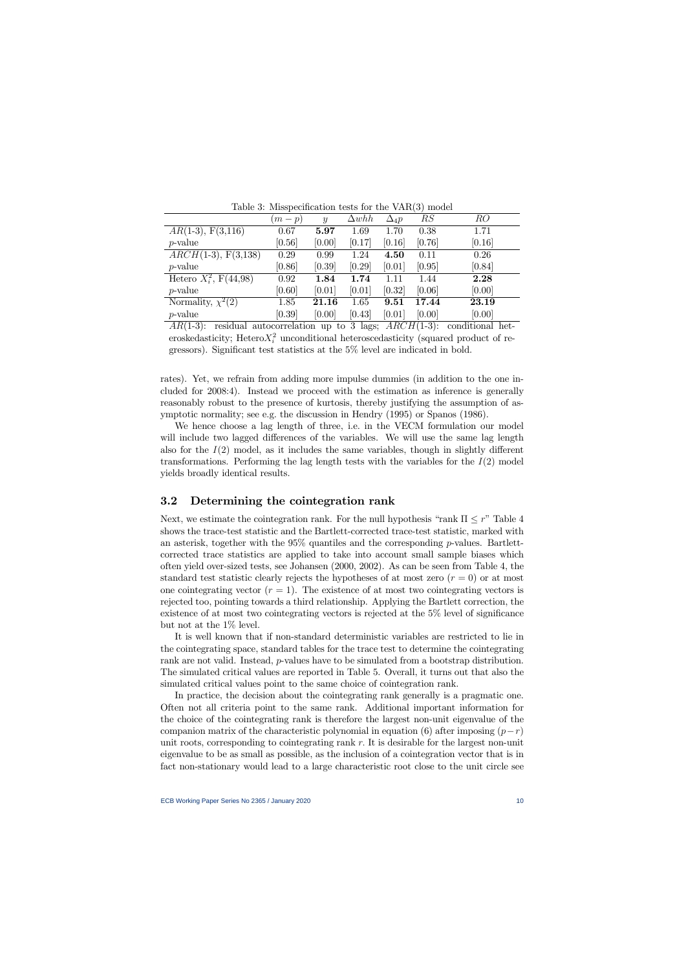|                                   | $(m-p)$ | $\mathcal{Y}$ | $\Delta whh$ | $\Delta_4 p$ | RS                                                                               | RO     |
|-----------------------------------|---------|---------------|--------------|--------------|----------------------------------------------------------------------------------|--------|
| $AR(1-3), F(3,116)$               | 0.67    | 5.97          | 1.69         | 1.70         | 0.38                                                                             | 1.71   |
| $p$ -value                        | [0.56]  | [0.00]        | [0.17]       | [0.16]       | [0.76]                                                                           | [0.16] |
| $ARCH(1-3), F(3,138)$             | 0.29    | 0.99          | 1.24         | 4.50         | 0.11                                                                             | 0.26   |
| $p$ -value                        | [0.86]  | [0.39]        | [0.29]       | [0.01]       | [0.95]                                                                           | [0.84] |
| Hetero $X_i^2$ , $F(44,98)$       | 0.92    | 1.84          | 1.74         | 1.11         | 1.44                                                                             | 2.28   |
| $p$ -value                        | [0.60]  | [0.01]        | [0.01]       | [0.32]       | [0.06]                                                                           | [0.00] |
| Normality, $\chi^2(\overline{2)}$ | 1.85    | 21.16         | 1.65         | 9.51         | 17.44                                                                            | 23.19  |
| $p$ -value                        | [0.39]  | [0.00]        | [0.43]       | [0.01]       | [0.00]                                                                           | [0.00] |
| $\lambda = 1$<br>.                |         |               |              |              | $\mathbf{A}$ and $\mathbf{A}$ and $\mathbf{A}$ and $\mathbf{A}$ and $\mathbf{A}$ |        |

Table 3: Misspecification tests for the  $VAR(3)$  model

 $AR(1-3)$ : residual autocorrelation up to 3 lags;  $ARCH(1-3)$ : conditional heteroskedasticity; Hetero $X_i^2$  unconditional heteroscedasticity (squared product of regressors). Significant test statistics at the  $5\%$  level are indicated in bold.

rates). Yet, we refrain from adding more impulse dummies (in addition to the one included for 2008:4). Instead we proceed with the estimation as inference is generally reasonably robust to the presence of kurtosis, thereby justifying the assumption of asymptotic normality; see e.g. the discussion in Hendry (1995) or Spanos (1986).

We hence choose a lag length of three, i.e. in the VECM formulation our model will include two lagged differences of the variables. We will use the same lag length also for the  $I(2)$  model, as it includes the same variables, though in slightly different transformations. Performing the lag length tests with the variables for the  $I(2)$  model yields broadly identical results.

#### 3.2 Determining the cointegration rank

Next, we estimate the cointegration rank. For the null hypothesis "rank  $\Pi \leq r$ " Table 4 shows the trace-test statistic and the Bartlett-corrected trace-test statistic, marked with an asterisk, together with the  $95\%$  quantiles and the corresponding p-values. Bartlettcorrected trace statistics are applied to take into account small sample biases which often yield over-sized tests, see Johansen (2000, 2002). As can be seen from Table 4, the standard test statistic clearly rejects the hypotheses of at most zero  $(r = 0)$  or at most one cointegrating vector  $(r = 1)$ . The existence of at most two cointegrating vectors is rejected too, pointing towards a third relationship. Applying the Bartlett correction, the existence of at most two cointegrating vectors is rejected at the  $5\%$  level of significance but not at the 1% level.

It is well known that if non-standard deterministic variables are restricted to lie in the cointegrating space, standard tables for the trace test to determine the cointegrating rank are not valid. Instead, *p*-values have to be simulated from a bootstrap distribution. The simulated critical values are reported in Table 5. Overall, it turns out that also the simulated critical values point to the same choice of cointegration rank.

In practice, the decision about the cointegrating rank generally is a pragmatic one. Often not all criteria point to the same rank. Additional important information for the choice of the cointegrating rank is therefore the largest non-unit eigenvalue of the companion matrix of the characteristic polynomial in equation (6) after imposing  $(p-r)$ unit roots, corresponding to cointegrating rank  $r$ . It is desirable for the largest non-unit eigenvalue to be as small as possible, as the inclusion of a cointegration vector that is in fact non-stationary would lead to a large characteristic root close to the unit circle see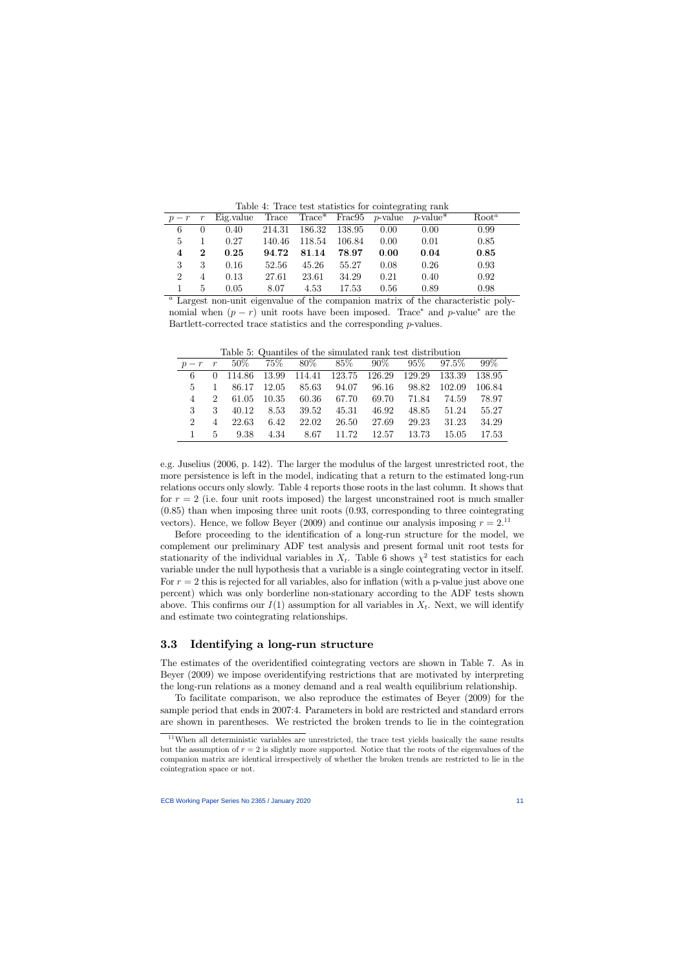Table 4: Trace test statistics for cointegrating rank

|                             |                | $p-r$ r Eig.value Trace Trace* Frac95 p-value p-value* |       |                      |       |      |      | Root <sup>a</sup> |
|-----------------------------|----------------|--------------------------------------------------------|-------|----------------------|-------|------|------|-------------------|
| 6                           | 0              | 0.40                                                   |       | 214.31 186.32 138.95 |       | 0.00 | 0.00 | 0.99              |
| 5                           |                | 0.27                                                   |       | 140.46 118.54 106.84 |       | 0.00 | 0.01 | 0.85              |
| 4                           | $\overline{2}$ | 0.25                                                   | 94.72 | 81.14                | 78.97 | 0.00 | 0.04 | 0.85              |
| 3                           | 3              | 0.16                                                   | 52.56 | 45.26                | 55.27 | 0.08 | 0.26 | 0.93              |
| $\mathcal{D}_{\mathcal{L}}$ | 4              | 0.13                                                   | 27.61 | 23.61                | 34.29 | 0.21 | 0.40 | 0.92              |
|                             | 5              | 0.05                                                   | 8.07  | 4.53                 | 17.53 | 0.56 | 0.89 | 0.98              |

<sup>a</sup> Largest non-unit eigenvalue of the companion matrix of the characteristic polynomial when  $(p - r)$  unit roots have been imposed. Trace<sup>\*</sup> and p-value<sup>\*</sup> are the Bartlett-corrected trace statistics and the corresponding p-values.

|                |                |  | Table 9. Wagnetics of the simulated raint test distribution                  |  |             |       |
|----------------|----------------|--|------------------------------------------------------------------------------|--|-------------|-------|
|                |                |  | $p-r$ r 50% 75% 80% 85% 90% 95% 97.5% 99%                                    |  |             |       |
|                |                |  | 6   0   114.86   13.99   114.41   123.75   126.29   129.29   133.39   138.95 |  |             |       |
| $5 -$          |                |  | 1 86.17 12.05 85.63 94.07 96.16 98.82 102.09 106.84                          |  |             |       |
| $\overline{4}$ | $2^{\circ}$    |  | 61.05 10.35 60.36 67.70 69.70 71.84 74.59 78.97                              |  |             |       |
| $\mathbf{3}$   | $\mathbf{3}$   |  | 40.12 8.53 39.52 45.31 46.92                                                 |  | 48.85 51.24 | 55.27 |
|                | $\overline{4}$ |  | 22.63 6.42 22.02 26.50 27.69                                                 |  | 29.23 31.23 | 34.29 |
|                | $5 -$          |  | 9.38 4.34 8.67 11.72 12.57 13.73 15.05 17.53                                 |  |             |       |

Table 5: Quantiles of the simulated rank test distribution

e.g. Juselius (2006, p. 142). The larger the modulus of the largest unrestricted root, the more persistence is left in the model, indicating that a return to the estimated long-run relations occurs only slowly. Table 4 reports those roots in the last column. It shows that for  $r = 2$  (i.e. four unit roots imposed) the largest unconstrained root is much smaller (0.85) than when imposing three unit roots (0.93, corresponding to three cointegrating vectors). Hence, we follow Beyer (2009) and continue our analysis imposing  $r = 2$ .<sup>11</sup>

Before proceeding to the identification of a long-run structure for the model, we complement our preliminary ADF test analysis and present formal unit root tests for stationarity of the individual variables in  $X_t$ . Table 6 shows  $\chi^2$  test statistics for each variable under the null hypothesis that a variable is a single cointegrating vector in itself. For  $r = 2$  this is rejected for all variables, also for inflation (with a p-value just above one percent) which was only borderline non-stationary according to the ADF tests shown above. This confirms our  $I(1)$  assumption for all variables in  $X_t$ . Next, we will identify and estimate two cointegrating relationships.

## 3.3 Identifying a long-run structure

The estimates of the overidentified cointegrating vectors are shown in Table 7. As in Beyer (2009) we impose overidentifying restrictions that are motivated by interpreting the long-run relations as a money demand and a real wealth equilibrium relationship.

To facilitate comparison, we also reproduce the estimates of Beyer (2009) for the sample period that ends in 2007:4. Parameters in bold are restricted and standard errors are shown in parentheses. We restricted the broken trends to lie in the cointegration

 $11$ When all deterministic variables are unrestricted, the trace test yields basically the same results but the assumption of  $r = 2$  is slightly more supported. Notice that the roots of the eigenvalues of the companion matrix are identical irrespectively of whether the broken trends are restricted to lie in the cointegration space or not.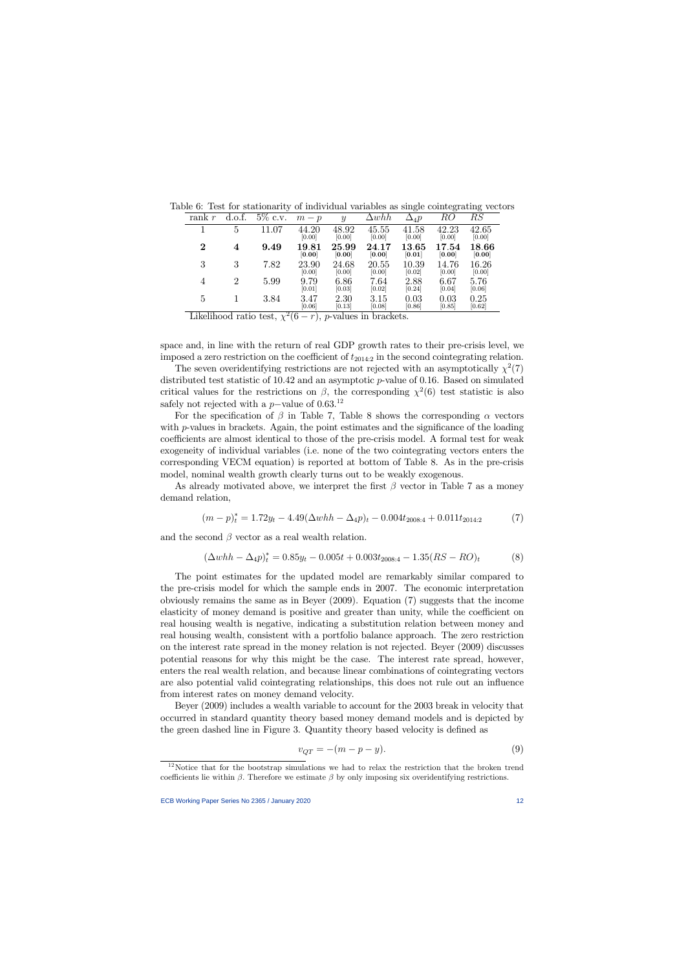|  |  |  |  |  |  |  |  | Table 6: Test for stationarity of individual variables as single cointegrating vectors |  |
|--|--|--|--|--|--|--|--|----------------------------------------------------------------------------------------|--|
|--|--|--|--|--|--|--|--|----------------------------------------------------------------------------------------|--|

| rank <i>r</i> | d.o.f.         | $5\%$ c.v. | $m-p$           | $\boldsymbol{y}$ | $\Delta whh$    | $\Delta_4 p$        | RO                  | RS              |
|---------------|----------------|------------|-----------------|------------------|-----------------|---------------------|---------------------|-----------------|
|               | 5              | .07<br>11  | 44.20<br>[0.00] | 48.92<br>[0.00]  | 45.55<br>[0.00] | 41.58<br>[0.00]     | 42.23<br>[0.00]     | 42.65<br>[0.00] |
| $\bf{2}$      | $\overline{4}$ | 9.49       | 19.81<br>[0.00] | 25.99<br>[0.00]  | 24.17<br>[0.00] | $13.65\,$<br>[0.01] | $17.54\,$<br>[0.00] | 18.66<br>[0.00] |
| 3             | 3              | 7.82       | 23.90<br>[0.00] | 24.68<br>[0.00]  | 20.55<br>[0.00] | 10.39<br>[0.02]     | 14.76<br>[0.00]     | 16.26<br>[0.00] |
| 4             | $\mathfrak{D}$ | 5.99       | 9.79<br>[0.01]  | 6.86<br>[0.03]   | 7.64<br>[0.02]  | 2.88<br>[0.24]      | 6.67<br>[0.04]      | 5.76<br>[0.06]  |
| 5             |                | 3.84       | 3.47<br>[0.06]  | 2.30<br>[0.13]   | 3.15<br>[0.08]  | 0.03<br>[0.86]      | 0.03<br>[0.85]      | 0.25<br>[0.62]  |

Likelihood ratio test,  $\chi^2(6-r)$ , *p*-values in brackets.

space and, in line with the return of real GDP growth rates to their pre-crisis level, we imposed a zero restriction on the coefficient of  $t_{2014:2}$  in the second cointegrating relation.

The seven overidentifying restrictions are not rejected with an asymptotically  $\chi^2(7)$ distributed test statistic of 10.42 and an asymptotic p-value of 0.16. Based on simulated critical values for the restrictions on  $\beta$ , the corresponding  $\chi^2(6)$  test statistic is also safely not rejected with a  $p$ -value of 0.63.<sup>12</sup>

For the specification of  $\beta$  in Table 7, Table 8 shows the corresponding  $\alpha$  vectors with  $p$ -values in brackets. Again, the point estimates and the significance of the loading coefficients are almost identical to those of the pre-crisis model. A formal test for weak exogeneity of individual variables (i.e. none of the two cointegrating vectors enters the corresponding VECM equation) is reported at bottom of Table 8. As in the pre-crisis model, nominal wealth growth clearly turns out to be weakly exogenous.

As already motivated above, we interpret the first  $\beta$  vector in Table 7 as a money demand relation,

$$
(m-p)^{*}_{t} = 1.72y_{t} - 4.49(\Delta whh - \Delta_4 p)_{t} - 0.004t_{2008:4} + 0.011t_{2014:2}
$$
 (7)

and the second  $\beta$  vector as a real wealth relation.

$$
(\Delta whh - \Delta_4 p)^* = 0.85y_t - 0.005t + 0.003t_{2008:4} - 1.35(RS - RO)_t
$$
 (8)

The point estimates for the updated model are remarkably similar compared to the pre-crisis model for which the sample ends in 2007. The economic interpretation obviously remains the same as in Beyer (2009). Equation (7) suggests that the income elasticity of money demand is positive and greater than unity, while the coefficient on real housing wealth is negative, indicating a substitution relation between money and real housing wealth, consistent with a portfolio balance approach. The zero restriction on the interest rate spread in the money relation is not rejected. Beyer (2009) discusses potential reasons for why this might be the case. The interest rate spread, however, enters the real wealth relation, and because linear combinations of cointegrating vectors are also potential valid cointegrating relationships, this does not rule out an ináuence from interest rates on money demand velocity.

Beyer (2009) includes a wealth variable to account for the 2003 break in velocity that occurred in standard quantity theory based money demand models and is depicted by the green dashed line in Figure 3. Quantity theory based velocity is defined as

$$
v_{QT} = -(m-p-y). \tag{9}
$$

 $12$ Notice that for the bootstrap simulations we had to relax the restriction that the broken trend coefficients lie within  $\beta$ . Therefore we estimate  $\beta$  by only imposing six overidentifying restrictions.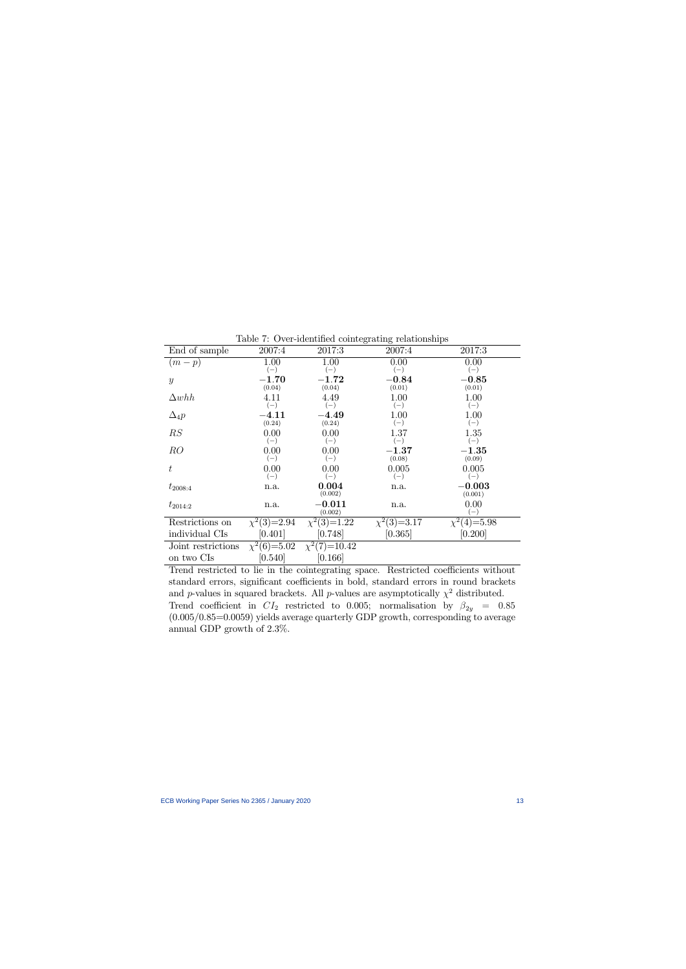|                    |                  |                   | Lable 1: Over Rechanged comeograving renationships |                  |
|--------------------|------------------|-------------------|----------------------------------------------------|------------------|
| End of sample      | 2007:4           | 2017:3            | 2007:4                                             | 2017:3           |
| $(m-p)$            | 1.00             | 1.00              | 0.00                                               | 0.00             |
|                    | $(-)$            | $(-)$             | $(-)$                                              | $(-)$            |
| $\mathcal{Y}$      | $-1.70$          | $-1.72$           | $-0.84$                                            | $-0.85$          |
|                    | (0.04)           | (0.04)            | (0.01)                                             | (0.01)           |
| $\Delta whh$       | 4.11             | 4.49              | 1.00                                               | 1.00             |
|                    | $(-)$            | $(-)$             | $(-)$                                              | $(-)$            |
| $\Delta_4 p$       | $-4.11$          | $-4.49$           | 1.00                                               | 1.00             |
|                    | (0.24)           | (0.24)            | $(-)$                                              | $(-)$            |
| RS                 | 0.00             | 0.00              | 1.37                                               | 1.35             |
|                    | $(-)$            | $(-)$             | $(-)$                                              | $(-)$            |
| RO                 | 0.00             | 0.00              | $-1.37$                                            | $-1.35$          |
|                    | $(-)$            | $(-)$             | (0.08)                                             | (0.09)           |
| t                  | 0.00             | 0.00              | 0.005                                              | 0.005            |
|                    | $(-)$            | $(-)$             | $(-)$                                              | $(-)$            |
| $t_{2008:4}$       | n.a.             | 0.004             | n.a.                                               | $-0.003$         |
|                    |                  | (0.002)           |                                                    | (0.001)          |
| $t_{2014:2}$       | n.a.             | $-0.011$          | n.a.                                               | 0.00             |
|                    |                  | (0.002)           |                                                    | $(-)$            |
| Restrictions on    | $\chi^2(3)=2.94$ | $\chi^2(3)=1.22$  | $\chi^2(3)=3.17$                                   | $\chi^2(4)=5.98$ |
| individual CIs     | [0.401]          | [0.748]           | [0.365]                                            | [0.200]          |
| Joint restrictions | $\chi^2(6)=5.02$ | $\chi^2(7)=10.42$ |                                                    |                  |
| on two CIs         | [0.540]          | [0.166]           |                                                    |                  |
|                    |                  |                   |                                                    |                  |

Table  $7:$  Over-identified cointegrating relationships

Trend restricted to lie in the cointegrating space. Restricted coefficients without standard errors, significant coefficients in bold, standard errors in round brackets and p-values in squared brackets. All p-values are asymptotically  $\chi^2$  distributed. Trend coefficient in  $CI_2$  restricted to 0.005; normalisation by  $\beta_{2y}$  = 0.85  $(0.005/0.85=0.0059)$  yields average quarterly GDP growth, corresponding to average annual GDP growth of 2.3%.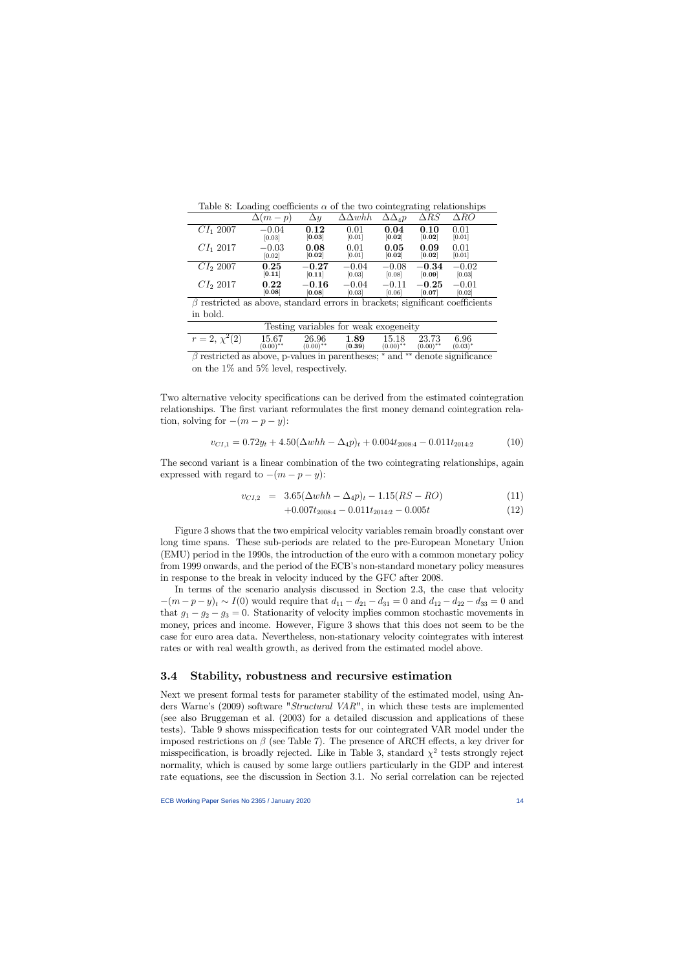|                                                                                    | Table 0. Downing coomercing a of the two connegrating relationships |            |                     |                    |             |             |
|------------------------------------------------------------------------------------|---------------------------------------------------------------------|------------|---------------------|--------------------|-------------|-------------|
|                                                                                    | $(m-p)$                                                             | $\Delta y$ | $\Delta \Delta whh$ | $\Delta\Delta_4 p$ | $\Delta RS$ | $\Delta RO$ |
| $CI_1$ 2007                                                                        | $-0.04$                                                             | 0.12       | 0.01                | 0.04               | 0.10        | 0.01        |
|                                                                                    | [0.03]                                                              | [0.03]     | [0.01]              | [0.02]             | [0.02]      | [0.01]      |
| $CI_1$ 2017                                                                        | $-0.03$                                                             | 0.08       | 0.01                | 0.05               | 0.09        | 0.01        |
|                                                                                    | [0.02]                                                              | [0.02]     | [0.01]              | [0.02]             | [0.02]      | [0.01]      |
| $CI_{2}$ 2007                                                                      | 0.25                                                                | $-0.27$    | $-0.04$             | $-0.08$            | $-0.34$     | $-0.02$     |
|                                                                                    | [0.11]                                                              | [0.11]     | [0.03]              | [0.08]             | [0.09]      | [0.03]      |
| $CI_{2}$ 2017                                                                      | 0.22                                                                | $-0.16$    | $-0.04$             | $-0.11$            | $-0.25$     | $-0.01$     |
|                                                                                    | [0.08]                                                              | [0.08]     | [0.03]              | [0.06]             | [0.07]      | [0.02]      |
| $\beta$ restricted as above, standard errors in brackets; significant coefficients |                                                                     |            |                     |                    |             |             |

Table 8: Loading coefficients  $\alpha$  of the two cointegrating relationships

 $\beta$  restricted as above, standard errors in brackets; significant coefficients in bold.

| Testing variables for weak exogeneity |                                 |                      |                |                      |                      |                    |  |  |
|---------------------------------------|---------------------------------|----------------------|----------------|----------------------|----------------------|--------------------|--|--|
| $r=2, \chi^2(2)$                      | 15.67<br>$(0.00)$ <sup>**</sup> | 26.96<br>$(0.00)$ ** | 1.89<br>(0.39) | 15.18<br>$(0.00)$ ** | 23.73<br>$(0.00)$ ** | 6.96<br>$(0.03)^*$ |  |  |
|                                       |                                 |                      |                |                      |                      |                    |  |  |

 $\beta$  restricted as above, p-values in parentheses;  $*$  and  $**$  denote significance on the 1% and 5% level, respectively.

Two alternative velocity specifications can be derived from the estimated cointegration relationships. The first variant reformulates the first money demand cointegration relation, solving for  $-(m - p - y)$ :

$$
v_{CI,1} = 0.72y_t + 4.50(\Delta whh - \Delta_4 p)_t + 0.004t_{2008:4} - 0.011t_{2014:2}
$$
 (10)

The second variant is a linear combination of the two cointegrating relationships, again expressed with regard to  $-(m - p - y)$ :

$$
v_{CI,2} = 3.65(\Delta whh - \Delta_4 p)_t - 1.15(RS - RO)
$$
\n(11)

$$
+0.007t_{2008:4} - 0.011t_{2014:2} - 0.005t
$$
\n
$$
(12)
$$

Figure 3 shows that the two empirical velocity variables remain broadly constant over long time spans. These sub-periods are related to the pre-European Monetary Union (EMU) period in the 1990s, the introduction of the euro with a common monetary policy from 1999 onwards, and the period of the ECB's non-standard monetary policy measures in response to the break in velocity induced by the GFC after 2008.

In terms of the scenario analysis discussed in Section 2.3, the case that velocity  $-(m-p-y)_t \sim I(0)$  would require that  $d_{11} - d_{21} - d_{31} = 0$  and  $d_{12} - d_{22} - d_{33} = 0$  and that  $g_1 - g_2 - g_3 = 0$ . Stationarity of velocity implies common stochastic movements in money, prices and income. However, Figure 3 shows that this does not seem to be the case for euro area data. Nevertheless, non-stationary velocity cointegrates with interest rates or with real wealth growth, as derived from the estimated model above.

## 3.4 Stability, robustness and recursive estimation

Next we present formal tests for parameter stability of the estimated model, using Anders Warne's (2009) software "Structural VAR", in which these tests are implemented (see also Bruggeman et al. (2003) for a detailed discussion and applications of these tests). Table 9 shows misspecification tests for our cointegrated VAR model under the imposed restrictions on  $\beta$  (see Table 7). The presence of ARCH effects, a key driver for misspecification, is broadly rejected. Like in Table 3, standard  $\chi^2$  tests strongly reject normality, which is caused by some large outliers particularly in the GDP and interest rate equations, see the discussion in Section 3.1. No serial correlation can be rejected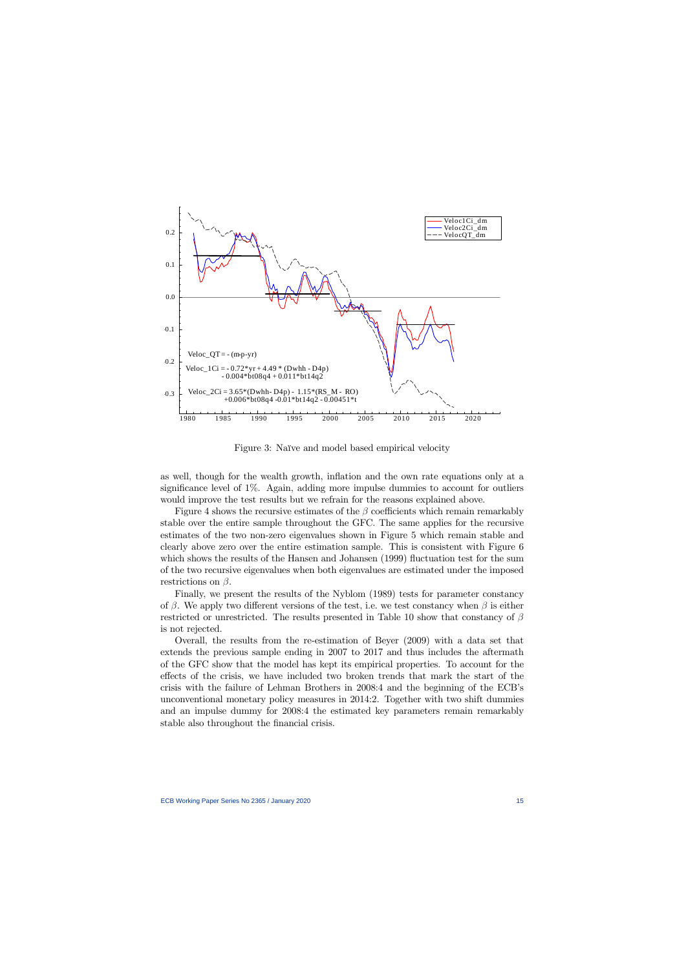

Figure 3: Naïve and model based empirical velocity

as well, though for the wealth growth, ináation and the own rate equations only at a significance level of  $1\%$ . Again, adding more impulse dummies to account for outliers would improve the test results but we refrain for the reasons explained above.

Figure 4 shows the recursive estimates of the  $\beta$  coefficients which remain remarkably stable over the entire sample throughout the GFC. The same applies for the recursive estimates of the two non-zero eigenvalues shown in Figure 5 which remain stable and clearly above zero over the entire estimation sample. This is consistent with Figure 6 which shows the results of the Hansen and Johansen (1999) fluctuation test for the sum of the two recursive eigenvalues when both eigenvalues are estimated under the imposed restrictions on  $\beta$ .

Finally, we present the results of the Nyblom (1989) tests for parameter constancy of  $\beta$ . We apply two different versions of the test, i.e. we test constancy when  $\beta$  is either restricted or unrestricted. The results presented in Table 10 show that constancy of  $\beta$ is not rejected.

Overall, the results from the re-estimation of Beyer (2009) with a data set that extends the previous sample ending in 2007 to 2017 and thus includes the aftermath of the GFC show that the model has kept its empirical properties. To account for the effects of the crisis, we have included two broken trends that mark the start of the crisis with the failure of Lehman Brothers in 2008:4 and the beginning of the ECB's unconventional monetary policy measures in 2014:2. Together with two shift dummies and an impulse dummy for 2008:4 the estimated key parameters remain remarkably stable also throughout the financial crisis.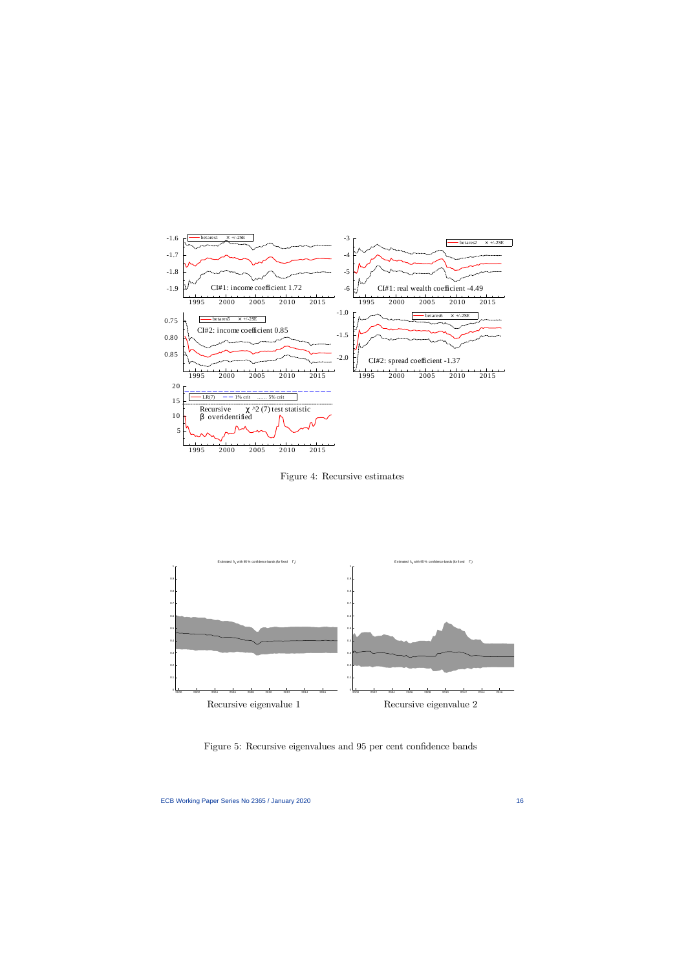

Figure 4: Recursive estimates



Figure 5: Recursive eigenvalues and 95 per cent confidence bands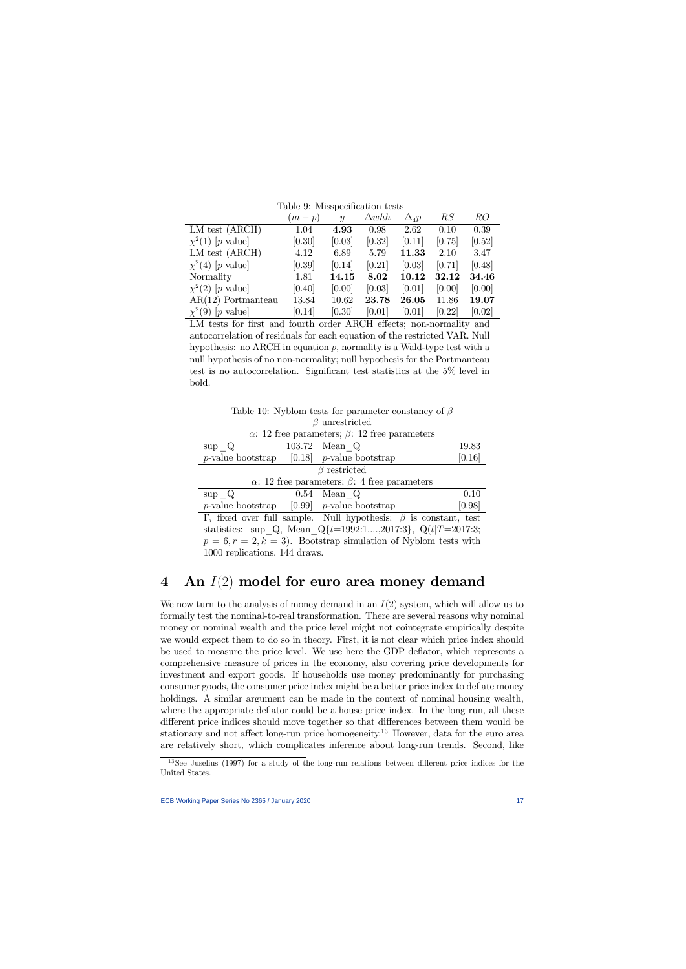|                                    | $(m-p)$ | $\boldsymbol{y}$ | $\Delta whh$ | $\Delta_4 p$ | RS     | RO     |
|------------------------------------|---------|------------------|--------------|--------------|--------|--------|
| LM test (ARCH)                     | 1.04    | 4.93             | 0.98         | 2.62         | 0.10   | 0.39   |
| $\chi^2(1)$ [p value]              | [0.30]  | [0.03]           | [0.32]       | [0.11]       | [0.75] | [0.52] |
| LM test (ARCH)                     | 4.12    | 6.89             | 5.79         | 11.33        | 2.10   | 3.47   |
| $\chi^2(4)$ [p value]              | [0.39]  | [0.14]           | [0.21]       | [0.03]       | [0.71] | [0.48] |
| Normality                          | 1.81    | 14.15            | 8.02         | $10.12\,$    | 32.12  | 34.46  |
| $\chi^2(2)$ [p value]              | [0.40]  | [0.00]           | [0.03]       | [0.01]       | [0.00] | [0.00] |
| $AR(12)$ Portmanteau               | 13.84   | 10.62            | 23.78        | 26.05        | 11.86  | 19.07  |
| $ p \text{ value} $<br>$\chi^2(9)$ | [0.14]  | [0.30]           | [0.01]       | [0.01]       | [0.22] | [0.02] |

LM tests for first and fourth order ARCH effects; non-normality and autocorrelation of residuals for each equation of the restricted VAR. Null hypothesis: no ARCH in equation  $p$ , normality is a Wald-type test with a null hypothesis of no non-normality; null hypothesis for the Portmanteau test is no autocorrelation. Significant test statistics at the  $5\%$  level in bold.

| Table 10: Nyblom tests for parameter constancy of $\beta$                     |                                                             |        |  |  |  |
|-------------------------------------------------------------------------------|-------------------------------------------------------------|--------|--|--|--|
|                                                                               | $\beta$ unrestricted                                        |        |  |  |  |
|                                                                               | $\alpha$ : 12 free parameters; $\beta$ : 12 free parameters |        |  |  |  |
| $\sup Q$                                                                      | 103.72 Mean Q                                               | 19.83  |  |  |  |
| <i>p</i> -value bootstrap [0.18] <i>p</i> -value bootstrap                    |                                                             | [0.16] |  |  |  |
|                                                                               | $\beta$ restricted                                          |        |  |  |  |
| $\alpha$ : 12 free parameters; $\beta$ : 4 free parameters                    |                                                             |        |  |  |  |
| $\sup Q$                                                                      | $0.54$ Mean Q                                               | 0.10   |  |  |  |
| <i>p</i> -value bootstrap [0.99] <i>p</i> -value bootstrap                    |                                                             | [0.98] |  |  |  |
| $\Gamma_i$ fixed over full sample. Null hypothesis: $\beta$ is constant, test |                                                             |        |  |  |  |
| statistics: sup Q, Mean $Q_{t=1992:1,,2017:3}$ , $Q_{t=T=2017:3}$ ;           |                                                             |        |  |  |  |
| $p = 6, r = 2, k = 3$ . Bootstrap simulation of Nyblom tests with             |                                                             |        |  |  |  |
| 1000 replications, 144 draws.                                                 |                                                             |        |  |  |  |

# 4 An  $I(2)$  model for euro area money demand

We now turn to the analysis of money demand in an  $I(2)$  system, which will allow us to formally test the nominal-to-real transformation. There are several reasons why nominal money or nominal wealth and the price level might not cointegrate empirically despite we would expect them to do so in theory. First, it is not clear which price index should be used to measure the price level. We use here the GDP deflator, which represents a comprehensive measure of prices in the economy, also covering price developments for investment and export goods. If households use money predominantly for purchasing consumer goods, the consumer price index might be a better price index to deflate money holdings. A similar argument can be made in the context of nominal housing wealth, where the appropriate deflator could be a house price index. In the long run, all these different price indices should move together so that differences between them would be stationary and not affect long-run price homogeneity.<sup>13</sup> However, data for the euro area are relatively short, which complicates inference about long-run trends. Second, like

 $13$ See Juselius (1997) for a study of the long-run relations between different price indices for the United States.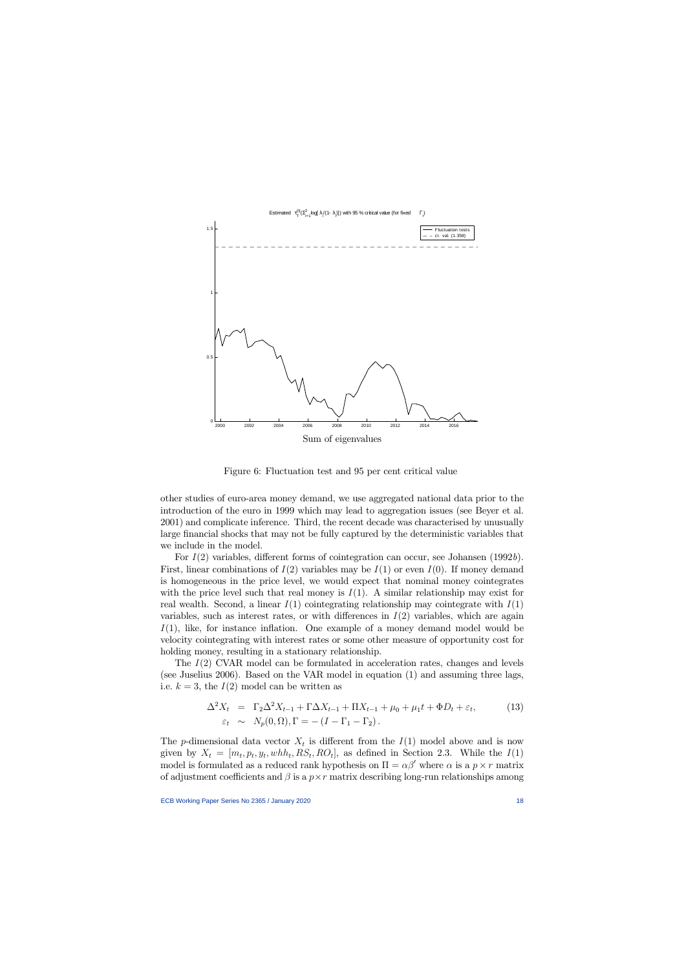

Figure 6: Fluctuation test and 95 per cent critical value

other studies of euro-area money demand, we use aggregated national data prior to the introduction of the euro in 1999 which may lead to aggregation issues (see Beyer et al. 2001) and complicate inference. Third, the recent decade was characterised by unusually large financial shocks that may not be fully captured by the deterministic variables that we include in the model.

For  $I(2)$  variables, different forms of cointegration can occur, see Johansen (1992b). First, linear combinations of  $I(2)$  variables may be  $I(1)$  or even  $I(0)$ . If money demand is homogeneous in the price level, we would expect that nominal money cointegrates with the price level such that real money is  $I(1)$ . A similar relationship may exist for real wealth. Second, a linear  $I(1)$  cointegrating relationship may cointegrate with  $I(1)$ variables, such as interest rates, or with differences in  $I(2)$  variables, which are again  $I(1)$ , like, for instance inflation. One example of a money demand model would be velocity cointegrating with interest rates or some other measure of opportunity cost for holding money, resulting in a stationary relationship.

The I(2) CVAR model can be formulated in acceleration rates, changes and levels (see Juselius 2006). Based on the VAR model in equation (1) and assuming three lags, i.e.  $k = 3$ , the  $I(2)$  model can be written as

$$
\Delta^2 X_t = \Gamma_2 \Delta^2 X_{t-1} + \Gamma \Delta X_{t-1} + \Pi X_{t-1} + \mu_0 + \mu_1 t + \Phi D_t + \varepsilon_t, \tag{13}
$$
\n
$$
\varepsilon_t \sim N_p(0, \Omega), \Gamma = -(I - \Gamma_1 - \Gamma_2).
$$

The *p*-dimensional data vector  $X_t$  is different from the  $I(1)$  model above and is now given by  $X_t = [m_t, p_t, y_t, whh_t, RS_t, RO_t]$ , as defined in Section 2.3. While the  $I(1)$ model is formulated as a reduced rank hypothesis on  $\Pi = \alpha \beta'$  where  $\alpha$  is a  $p \times r$  matrix of adjustment coefficients and  $\beta$  is a  $p \times r$  matrix describing long-run relationships among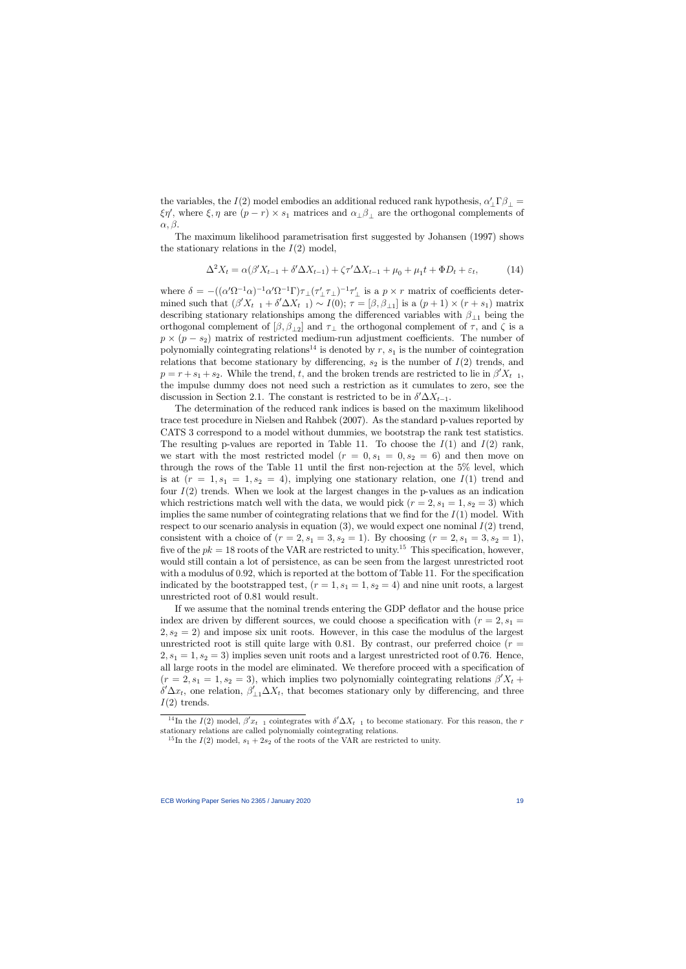the variables, the  $I(2)$  model embodies an additional reduced rank hypothesis,  $\alpha'_{\perp} \Gamma \beta_{\perp} =$  $\xi \eta'$ , where  $\xi, \eta$  are  $(p-r) \times s_1$  matrices and  $\alpha_{\perp} \beta_{\perp}$  are the orthogonal complements of  $\alpha, \beta.$ 

The maximum likelihood parametrisation first suggested by Johansen (1997) shows the stationary relations in the  $I(2)$  model,

$$
\Delta^2 X_t = \alpha(\beta' X_{t-1} + \delta' \Delta X_{t-1}) + \zeta \tau' \Delta X_{t-1} + \mu_0 + \mu_1 t + \Phi D_t + \varepsilon_t, \tag{14}
$$

where  $\delta = -((\alpha'\Omega^{-1}\alpha)^{-1}\alpha'\Omega^{-1}\Gamma)\tau_{\perp}(\tau'_{\perp}\tau_{\perp})^{-1}\tau'_{\perp}$  is a  $p \times r$  matrix of coefficients determined such that  $(\beta' X_{t-1} + \delta' \Delta X_{t-1}) \sim I(0); \tau = [\beta, \beta_{\perp 1}]$  is a  $(p+1) \times (r+s_1)$  matrix describing stationary relationships among the differenced variables with  $\beta_{\perp 1}$  being the orthogonal complement of  $[\beta, \beta_{\perp 2}]$  and  $\tau_{\perp}$  the orthogonal complement of  $\tau$ , and  $\zeta$  is a  $p \times (p - s_2)$  matrix of restricted medium-run adjustment coefficients. The number of polynomially cointegrating relations<sup>14</sup> is denoted by  $r$ ,  $s<sub>1</sub>$  is the number of cointegration relations that become stationary by differencing,  $s_2$  is the number of  $I(2)$  trends, and  $p = r + s_1 + s_2$ . While the trend, t, and the broken trends are restricted to lie in  $\beta' X_{t-1}$ , the impulse dummy does not need such a restriction as it cumulates to zero, see the discussion in Section 2.1. The constant is restricted to be in  $\delta' \Delta X_{t-1}$ .

The determination of the reduced rank indices is based on the maximum likelihood trace test procedure in Nielsen and Rahbek (2007). As the standard p-values reported by CATS 3 correspond to a model without dummies, we bootstrap the rank test statistics. The resulting p-values are reported in Table 11. To choose the  $I(1)$  and  $I(2)$  rank, we start with the most restricted model  $(r = 0, s_1 = 0, s_2 = 6)$  and then move on through the rows of the Table 11 until the first non-rejection at the  $5\%$  level, which is at  $(r = 1, s_1 = 1, s_2 = 4)$ , implying one stationary relation, one  $I(1)$  trend and four  $I(2)$  trends. When we look at the largest changes in the p-values as an indication which restrictions match well with the data, we would pick  $(r = 2, s_1 = 1, s_2 = 3)$  which implies the same number of cointegrating relations that we find for the  $I(1)$  model. With respect to our scenario analysis in equation (3), we would expect one nominal  $I(2)$  trend, consistent with a choice of  $(r = 2, s_1 = 3, s_2 = 1)$ . By choosing  $(r = 2, s_1 = 3, s_2 = 1)$ , five of the  $pk = 18$  roots of the VAR are restricted to unity.<sup>15</sup> This specification, however, would still contain a lot of persistence, as can be seen from the largest unrestricted root with a modulus of  $0.92$ , which is reported at the bottom of Table 11. For the specification indicated by the bootstrapped test,  $(r = 1, s_1 = 1, s_2 = 4)$  and nine unit roots, a largest unrestricted root of 0.81 would result.

If we assume that the nominal trends entering the GDP deflator and the house price index are driven by different sources, we could choose a specification with  $(r = 2, s_1 =$  $2, s_2 = 2$  and impose six unit roots. However, in this case the modulus of the largest unrestricted root is still quite large with 0.81. By contrast, our preferred choice  $(r =$  $2, s_1 = 1, s_2 = 3$  implies seven unit roots and a largest unrestricted root of 0.76. Hence, all large roots in the model are eliminated. We therefore proceed with a specification of  $(r = 2, s_1 = 1, s_2 = 3)$ , which implies two polynomially cointegrating relations  $\beta' X_t$  +  $\delta' \Delta x_t$ , one relation,  $\beta'_{\perp 1} \Delta X_t$ , that becomes stationary only by differencing, and three  $I(2)$  trends.

<sup>&</sup>lt;sup>14</sup>In the  $I(2)$  model,  $\beta' x_{t-1}$  cointegrates with  $\delta' \Delta X_{t-1}$  to become stationary. For this reason, the r stationary relations are called polynomially cointegrating relations.

<sup>&</sup>lt;sup>15</sup>In the  $I(2)$  model,  $s_1 + 2s_2$  of the roots of the VAR are restricted to unity.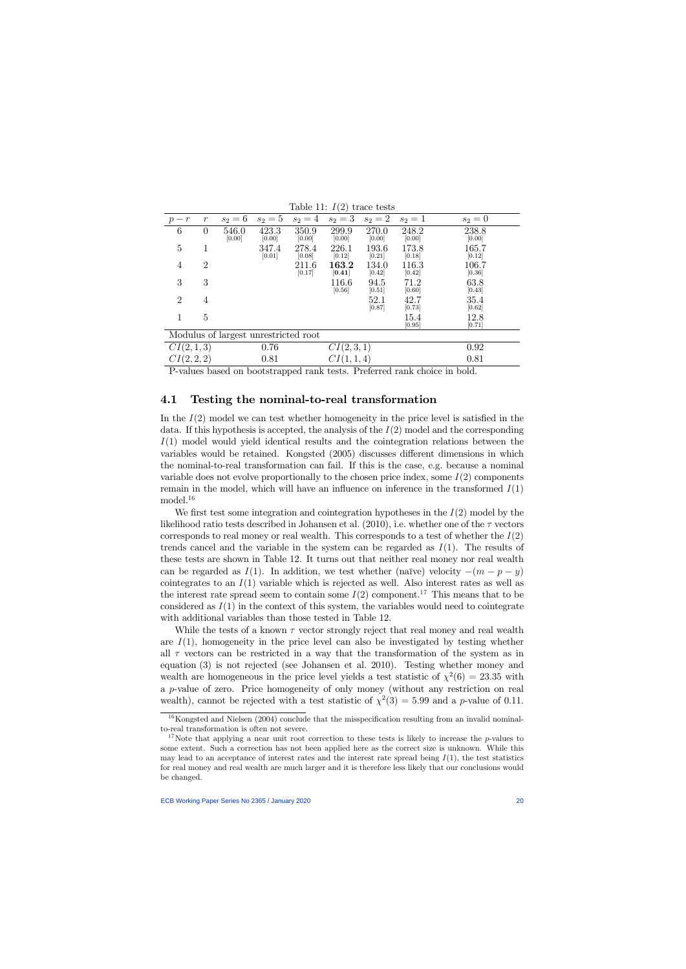| $10010$ $11.1$ $17.$<br>AT MOD CON AN |                |                 |                 |                 |                 |                 |                 |                 |
|---------------------------------------|----------------|-----------------|-----------------|-----------------|-----------------|-----------------|-----------------|-----------------|
| $-r$<br>$\, p$                        | $\,r$          | $s_2 = 6$       | $s_2=5$         | $s_2 = 4$       | $s_2=3$         | $s_2=2$         | $s_2 = 1$       | $s_2=0$         |
| 6                                     | $\theta$       | 546.0<br>[0.00] | 423.3<br>[0.00] | 350.9<br>[0.00] | 299.9<br>[0.00] | 270.0<br>[0.00] | 248.2<br>[0.00] | 238.8<br>[0.00] |
| 5                                     |                |                 | 347.4<br>[0.01] | 278.4<br>[0.08] | 226.1<br>[0.12] | 193.6<br>[0.21] | 173.8<br>[0.18] | 165.7<br>[0.12] |
| 4                                     | $\overline{2}$ |                 |                 | 211.6<br>[0.17] | 163.2<br>[0.41] | 134.0<br>[0.42] | 116.3<br>[0.42] | 106.7<br>[0.36] |
| 3                                     | 3              |                 |                 |                 | 116.6<br>[0.56] | 94.5<br>[0.51]  | 71.2<br>[0.60]  | 63.8<br>[0.43]  |
| $\overline{2}$                        | 4              |                 |                 |                 |                 | 52.1<br>[0.87]  | 42.7<br>[0.73]  | 35.4<br>[0.62]  |
|                                       | 5              |                 |                 |                 |                 |                 | 15.4<br>[0.95]  | 12.8<br>[0.71]  |
| Modulus of largest unrestricted root  |                |                 |                 |                 |                 |                 |                 |                 |
| CI(2, 1, 3)                           |                |                 | 0.76            |                 | CI(2, 3, 1)     |                 |                 | 0.92            |
| CI(2, 2, 2)                           |                |                 | 0.81            |                 | CI(1,1,4)       |                 |                 | 0.81            |

Table 11:  $I(2)$  trace tests

P-values based on bootstrapped rank tests. Preferred rank choice in bold.

### 4.1 Testing the nominal-to-real transformation

In the  $I(2)$  model we can test whether homogeneity in the price level is satisfied in the data. If this hypothesis is accepted, the analysis of the  $I(2)$  model and the corresponding  $I(1)$  model would yield identical results and the cointegration relations between the variables would be retained. Kongsted (2005) discusses different dimensions in which the nominal-to-real transformation can fail. If this is the case, e.g. because a nominal variable does not evolve proportionally to the chosen price index, some  $I(2)$  components remain in the model, which will have an influence on inference in the transformed  $I(1)$  $\rm{model.}^{16}$ 

We first test some integration and cointegration hypotheses in the  $I(2)$  model by the likelihood ratio tests described in Johansen et al. (2010), i.e. whether one of the  $\tau$  vectors corresponds to real money or real wealth. This corresponds to a test of whether the  $I(2)$ trends cancel and the variable in the system can be regarded as  $I(1)$ . The results of these tests are shown in Table 12. It turns out that neither real money nor real wealth can be regarded as  $I(1)$ . In addition, we test whether (naïve) velocity  $-(m - p - y)$ cointegrates to an  $I(1)$  variable which is rejected as well. Also interest rates as well as the interest rate spread seem to contain some  $I(2)$  component.<sup>17</sup> This means that to be considered as  $I(1)$  in the context of this system, the variables would need to cointegrate with additional variables than those tested in Table 12.

While the tests of a known  $\tau$  vector strongly reject that real money and real wealth are  $I(1)$ , homogeneity in the price level can also be investigated by testing whether all  $\tau$  vectors can be restricted in a way that the transformation of the system as in equation (3) is not rejected (see Johansen et al. 2010). Testing whether money and wealth are homogeneous in the price level yields a test statistic of  $\chi^2(6) = 23.35$  with a p-value of zero. Price homogeneity of only money (without any restriction on real wealth), cannot be rejected with a test statistic of  $\chi^2(3) = 5.99$  and a p-value of 0.11.

 $16$ Kongsted and Nielsen (2004) conclude that the misspecification resulting from an invalid nominalto-real transformation is often not severe.

<sup>&</sup>lt;sup>17</sup>Note that applying a near unit root correction to these tests is likely to increase the p-values to some extent. Such a correction has not been applied here as the correct size is unknown. While this may lead to an acceptance of interest rates and the interest rate spread being  $I(1)$ , the test statistics for real money and real wealth are much larger and it is therefore less likely that our conclusions would be changed.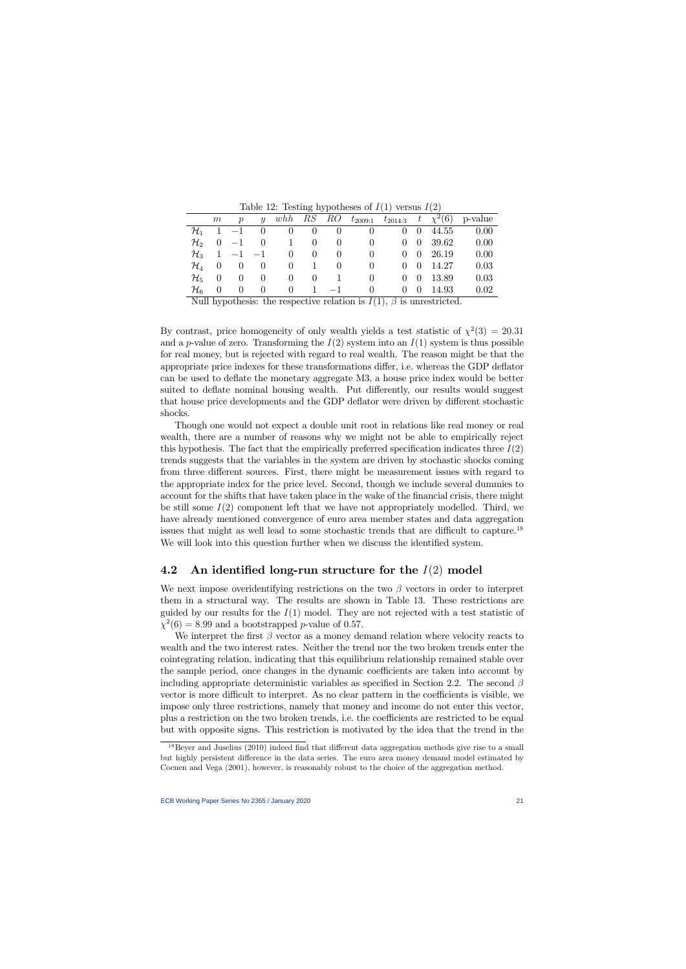| Lable 12. Lesting hypotheses of $I(1)$ versus $I(2)$ |                                |                               |                                  |                     |  |  |                                    |  |                                                   |         |
|------------------------------------------------------|--------------------------------|-------------------------------|----------------------------------|---------------------|--|--|------------------------------------|--|---------------------------------------------------|---------|
|                                                      | $m_{\scriptscriptstyle \perp}$ | $\boldsymbol{p}$              | $\overline{y}$                   |                     |  |  |                                    |  | whh RS RO $t_{2009:1}$ $t_{2014:3}$ $t \chi^2(6)$ | p-value |
|                                                      |                                |                               |                                  |                     |  |  |                                    |  | $\mathcal{H}_1$ 1 -1 0 0 0 0 0 0 0 44.55          | 0.00    |
| $\mathcal{H}_2$                                      |                                |                               |                                  |                     |  |  | $0 \t -1 \t 0 \t 1 \t 0 \t 0 \t 0$ |  | $0 \t 0 \t 39.62$                                 | 0.00    |
|                                                      |                                |                               | $\mathcal{H}_3$ 1 -1 -1          |                     |  |  | $0 \quad 0 \quad 0 \quad 0$        |  | $0 \quad 0 \quad 26.19$                           | 0.00    |
|                                                      |                                | $\mathcal{H}_4$ 0 0 0         |                                  | $0 \quad 1 \quad 0$ |  |  | $\overline{0}$                     |  | $0 \quad 0 \quad 14.27$                           | 0.03    |
| $\mathcal{H}_5=0$                                    |                                | $\hspace{0.6cm}0$             | $\begin{array}{c} 0 \end{array}$ | $0 \quad 0 \quad 1$ |  |  | $\left( \right)$                   |  | $0 \quad 0 \quad 13.89$                           | 0.03    |
| $\mathcal{H}_6$                                      | $\qquad \qquad 0$              | $\begin{matrix}0\end{matrix}$ | $\begin{array}{c} 0 \end{array}$ | 0 1 $-1$            |  |  | $\Omega$                           |  | $0 \quad 0 \quad 14.93$                           | 0.02    |
|                                                      |                                |                               |                                  |                     |  |  |                                    |  |                                                   |         |

Table 12: Testing hypotheses of  $I(1)$  versus  $I(2)$ 

Null hypothesis: the respective relation is  $I(1)$ ,  $\beta$  is unrestricted.

By contrast, price homogeneity of only wealth yields a test statistic of  $\chi^2(3) = 20.31$ and a p-value of zero. Transforming the  $I(2)$  system into an  $I(1)$  system is thus possible for real money, but is rejected with regard to real wealth. The reason might be that the appropriate price indexes for these transformations differ, i.e. whereas the GDP deflator can be used to deáate the monetary aggregate M3, a house price index would be better suited to deflate nominal housing wealth. Put differently, our results would suggest that house price developments and the GDP deflator were driven by different stochastic shocks.

Though one would not expect a double unit root in relations like real money or real wealth, there are a number of reasons why we might not be able to empirically reject this hypothesis. The fact that the empirically preferred specification indicates three  $I(2)$ trends suggests that the variables in the system are driven by stochastic shocks coming from three different sources. First, there might be measurement issues with regard to the appropriate index for the price level. Second, though we include several dummies to account for the shifts that have taken place in the wake of the financial crisis, there might be still some  $I(2)$  component left that we have not appropriately modelled. Third, we have already mentioned convergence of euro area member states and data aggregation issues that might as well lead to some stochastic trends that are difficult to capture.<sup>18</sup> We will look into this question further when we discuss the identified system.

## 4.2 An identified long-run structure for the  $I(2)$  model

We next impose overidentifying restrictions on the two  $\beta$  vectors in order to interpret them in a structural way. The results are shown in Table 13. These restrictions are guided by our results for the  $I(1)$  model. They are not rejected with a test statistic of  $\chi^2(6) = 8.99$  and a bootstrapped p-value of 0.57.

We interpret the first  $\beta$  vector as a money demand relation where velocity reacts to wealth and the two interest rates. Neither the trend nor the two broken trends enter the cointegrating relation, indicating that this equilibrium relationship remained stable over the sample period, once changes in the dynamic coefficients are taken into account by including appropriate deterministic variables as specified in Section 2.2. The second  $\beta$ vector is more difficult to interpret. As no clear pattern in the coefficients is visible, we impose only three restrictions, namely that money and income do not enter this vector, plus a restriction on the two broken trends, i.e. the coefficients are restricted to be equal but with opposite signs. This restriction is motivated by the idea that the trend in the

 $18$ Beyer and Juselius (2010) indeed find that different data aggregation methods give rise to a small but highly persistent difference in the data series. The euro area money demand model estimated by Coenen and Vega (2001), however, is reasonably robust to the choice of the aggregation method.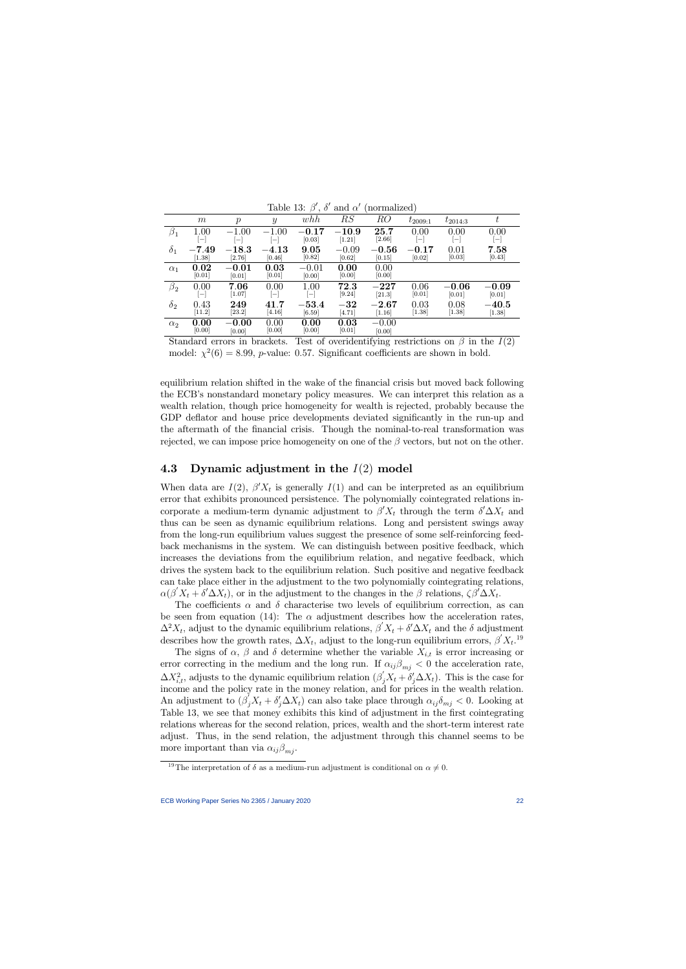|                    |                          |                          |                   | $\overline{\phantom{a}}$ |                      |         |                          |                   |                          |
|--------------------|--------------------------|--------------------------|-------------------|--------------------------|----------------------|---------|--------------------------|-------------------|--------------------------|
|                    | m                        | $\boldsymbol{p}$         | $\mathcal{Y}$     | whh                      | RS                   | RO      | $t_{2009:1}$             | $t_{2014:3}$      | $t\,$                    |
| $\beta_{1}$        | 1.00                     | $-1.00$                  | $-1.00$           | $-0.17$                  | $\boldsymbol{-10.9}$ | 25.7    | 0.00                     | 0.00              | 0.00                     |
|                    | $\qquad \qquad -$        | $\overline{\phantom{m}}$ | $\qquad \qquad -$ | [0.03]                   | [1.21]               | [2.66]  | $\overline{\phantom{m}}$ | $\qquad \qquad -$ | $\overline{\phantom{m}}$ |
| $\delta_1$         | $-7.49$                  | $-18.3$                  | $-4.13\,$         | 9.05                     | $-0.09$              | $-0.56$ | $-0.17$                  | 0.01              | 7.58                     |
|                    | $[1.38]$                 | [2.76]                   | [0.46]            | [0.82]                   | [0.62]               | [0.15]  | [0.02]                   | [0.03]            | $[0.43]$                 |
| $\alpha_1$         | 0.02                     | $-0.01\,$                | 0.03              | $-0.01$                  | 0.00                 | 0.00    |                          |                   |                          |
|                    | [0.01]                   | [0.01]                   | [0.01]            | [0.00]                   | [0.00]               | [0.00]  |                          |                   |                          |
| $\beta_{\rm 2}^{}$ | 0.00                     | 7.06                     | 0.00              | 1.00                     | 72.3                 | $-227$  | 0.06                     | $-0.06$           | $-0.09$                  |
|                    | $\overline{\phantom{m}}$ | [1.07]                   | $\qquad \qquad -$ | $\overline{\phantom{m}}$ | [9.24]               | [21.3]  | [0.01]                   | [0.01]            | [0.01]                   |
| $\delta_2$         | 0.43                     | 249                      | $\mathbf{41.7}$   | $-53.4$                  | $-32$                | $-2.67$ | 0.03                     | 0.08              | $-40.5$                  |
|                    | $[11.2]$                 | [23.2]                   | [4.16]            | [6.59]                   | [4.71]               | [1.16]  | [1.38]                   | [1.38]            | [1.38]                   |
| $\alpha_2$         | 0.00                     | $-0.00$                  | 0.00              | 0.00                     | 0.03                 | $-0.00$ |                          |                   |                          |
|                    | [0.00]                   | [0.00]                   | [0.00]            | [0.00]                   | [0.01]               | [0.00]  |                          |                   |                          |

Table 13:  $\beta'$ ,  $\delta'$  and  $\alpha'$  (normalized)

Standard errors in brackets. Test of overidentifying restrictions on  $\beta$  in the  $I(2)$ model:  $\chi^2(6) = 8.99$ , *p*-value: 0.57. Significant coefficients are shown in bold.

equilibrium relation shifted in the wake of the financial crisis but moved back following the ECB's nonstandard monetary policy measures. We can interpret this relation as a wealth relation, though price homogeneity for wealth is rejected, probably because the GDP deflator and house price developments deviated significantly in the run-up and the aftermath of the financial crisis. Though the nominal-to-real transformation was rejected, we can impose price homogeneity on one of the  $\beta$  vectors, but not on the other.

## 4.3 Dynamic adjustment in the  $I(2)$  model

When data are  $I(2)$ ,  $\beta' X_t$  is generally  $I(1)$  and can be interpreted as an equilibrium error that exhibits pronounced persistence. The polynomially cointegrated relations incorporate a medium-term dynamic adjustment to  $\beta' X_t$  through the term  $\delta' \Delta X_t$  and thus can be seen as dynamic equilibrium relations. Long and persistent swings away from the long-run equilibrium values suggest the presence of some self-reinforcing feedback mechanisms in the system. We can distinguish between positive feedback, which increases the deviations from the equilibrium relation, and negative feedback, which drives the system back to the equilibrium relation. Such positive and negative feedback can take place either in the adjustment to the two polynomially cointegrating relations,  $\alpha(\beta'X_t + \delta'\Delta X_t)$ , or in the adjustment to the changes in the  $\beta$  relations,  $\zeta\beta'\Delta X_t$ .

The coefficients  $\alpha$  and  $\delta$  characterise two levels of equilibrium correction, as can be seen from equation (14): The  $\alpha$  adjustment describes how the acceleration rates,  $\Delta^2 X_t$ , adjust to the dynamic equilibrium relations,  $\beta' X_t + \delta' \Delta X_t$  and the  $\delta$  adjustment describes how the growth rates,  $\Delta X_t$ , adjust to the long-run equilibrium errors,  $\beta' X_t$ <sup>19</sup>

The signs of  $\alpha$ ,  $\beta$  and  $\delta$  determine whether the variable  $X_{i,t}$  is error increasing or error correcting in the medium and the long run. If  $\alpha_{ij}\beta_{mj} < 0$  the acceleration rate,  $\Delta X_{i,t}^2$ , adjusts to the dynamic equilibrium relation  $(\beta_j'X_t + \delta_j' \Delta X_t)$ . This is the case for income and the policy rate in the money relation, and for prices in the wealth relation. An adjustment to  $(\beta_j'X_t + \delta_j' \Delta X_t)$  can also take place through  $\alpha_{ij}\delta_{mj} < 0$ . Looking at Table 13, we see that money exhibits this kind of adjustment in the first cointegrating relations whereas for the second relation, prices, wealth and the short-term interest rate adjust. Thus, in the send relation, the adjustment through this channel seems to be more important than via  $\alpha_{ij}\beta_{mi}$ .

<sup>&</sup>lt;sup>19</sup>The interpretation of  $\delta$  as a medium-run adjustment is conditional on  $\alpha \neq 0$ .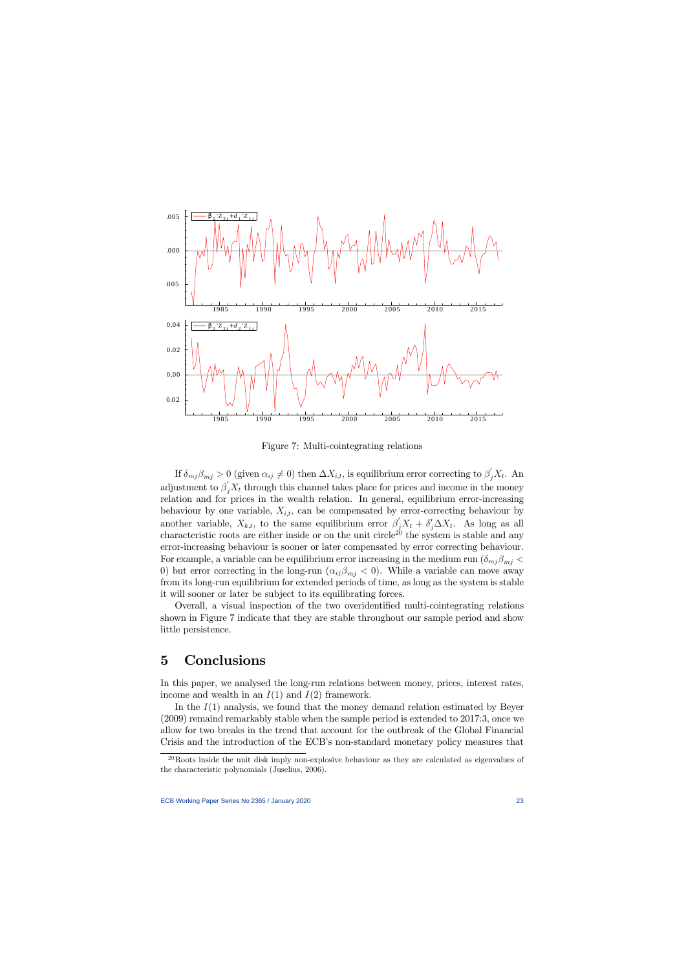

Figure 7: Multi-cointegrating relations

If  $\delta_{mj}\beta_{mj} > 0$  (given  $\alpha_{ij} \neq 0$ ) then  $\Delta X_{i,t}$ , is equilibrium error correcting to  $\beta_j'X_t$ . An adjustment to  $\beta'_j X_t$  through this channel takes place for prices and income in the money relation and for prices in the wealth relation. In general, equilibrium error-increasing behaviour by one variable,  $X_{i,t}$ , can be compensated by error-correcting behaviour by another variable,  $X_{k,t}$ , to the same equilibrium error  $\beta'_j X_t + \delta'_j \Delta X_t$ . As long as all characteristic roots are either inside or on the unit circle<sup>20</sup> the system is stable and any error-increasing behaviour is sooner or later compensated by error correcting behaviour. For example, a variable can be equilibrium error increasing in the medium run  $(\delta_{mj}\beta_{mi}$ 0) but error correcting in the long-run  $(\alpha_{ij}\beta_{mj} < 0)$ . While a variable can move away from its long-run equilibrium for extended periods of time, as long as the system is stable it will sooner or later be subject to its equilibrating forces.

Overall, a visual inspection of the two overidentified multi-cointegrating relations shown in Figure 7 indicate that they are stable throughout our sample period and show little persistence.

# 5 Conclusions

In this paper, we analysed the long-run relations between money, prices, interest rates, income and wealth in an  $I(1)$  and  $I(2)$  framework.

In the  $I(1)$  analysis, we found that the money demand relation estimated by Beyer (2009) remaind remarkably stable when the sample period is extended to 2017:3, once we allow for two breaks in the trend that account for the outbreak of the Global Financial Crisis and the introduction of the ECB's non-standard monetary policy measures that

<sup>&</sup>lt;sup>20</sup>Roots inside the unit disk imply non-explosive behaviour as they are calculated as eigenvalues of the characteristic polynomials (Juselius, 2006).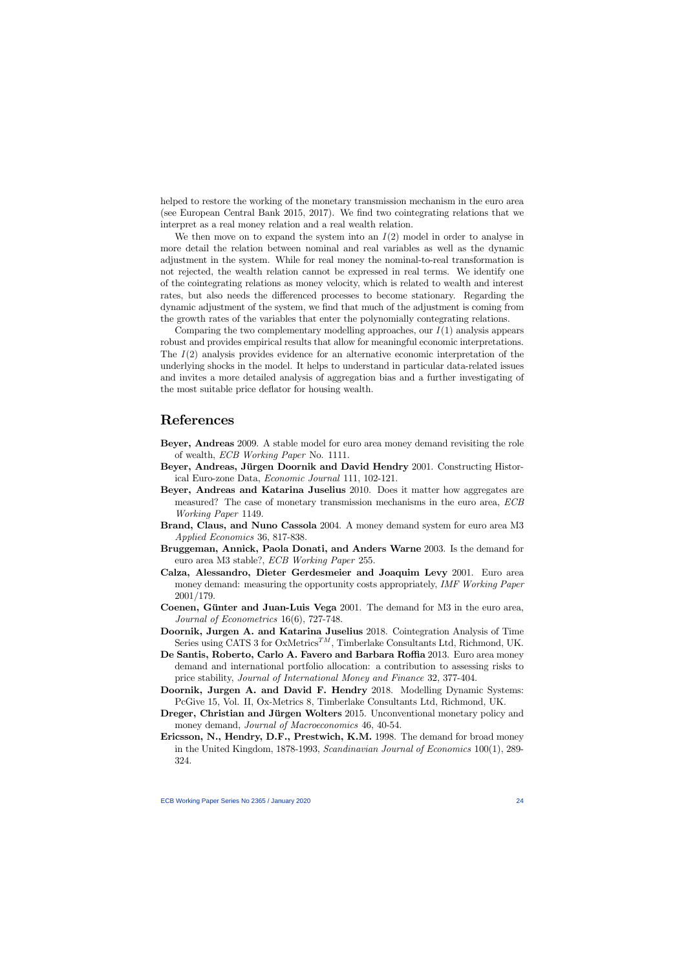helped to restore the working of the monetary transmission mechanism in the euro area (see European Central Bank 2015, 2017). We find two cointegrating relations that we interpret as a real money relation and a real wealth relation.

We then move on to expand the system into an  $I(2)$  model in order to analyse in more detail the relation between nominal and real variables as well as the dynamic adjustment in the system. While for real money the nominal-to-real transformation is not rejected, the wealth relation cannot be expressed in real terms. We identify one of the cointegrating relations as money velocity, which is related to wealth and interest rates, but also needs the differenced processes to become stationary. Regarding the dynamic adjustment of the system, we Önd that much of the adjustment is coming from the growth rates of the variables that enter the polynomially contegrating relations.

Comparing the two complementary modelling approaches, our  $I(1)$  analysis appears robust and provides empirical results that allow for meaningful economic interpretations. The  $I(2)$  analysis provides evidence for an alternative economic interpretation of the underlying shocks in the model. It helps to understand in particular data-related issues and invites a more detailed analysis of aggregation bias and a further investigating of the most suitable price deflator for housing wealth.

## References

- Beyer, Andreas 2009. A stable model for euro area money demand revisiting the role of wealth, ECB Working Paper No. 1111.
- Beyer, Andreas, Jürgen Doornik and David Hendry 2001. Constructing Historical Euro-zone Data, Economic Journal 111, 102-121.
- Beyer, Andreas and Katarina Juselius 2010. Does it matter how aggregates are measured? The case of monetary transmission mechanisms in the euro area, ECB Working Paper 1149.
- Brand, Claus, and Nuno Cassola 2004. A money demand system for euro area M3 Applied Economics 36, 817-838.
- Bruggeman, Annick, Paola Donati, and Anders Warne 2003. Is the demand for euro area M3 stable?, ECB Working Paper 255.
- Calza, Alessandro, Dieter Gerdesmeier and Joaquim Levy 2001. Euro area money demand: measuring the opportunity costs appropriately, IMF Working Paper 2001/179.
- Coenen, Günter and Juan-Luis Vega 2001. The demand for M3 in the euro area, Journal of Econometrics 16(6), 727-748.
- Doornik, Jurgen A. and Katarina Juselius 2018. Cointegration Analysis of Time Series using CATS 3 for OxMetrics<sup>TM</sup>, Timberlake Consultants Ltd, Richmond, UK.
- De Santis, Roberto, Carlo A. Favero and Barbara Roffia 2013. Euro area money demand and international portfolio allocation: a contribution to assessing risks to price stability, Journal of International Money and Finance 32, 377-404.
- Doornik, Jurgen A. and David F. Hendry 2018. Modelling Dynamic Systems: PcGive 15, Vol. II, Ox-Metrics 8, Timberlake Consultants Ltd, Richmond, UK.
- Dreger, Christian and Jürgen Wolters 2015. Unconventional monetary policy and money demand, *Journal of Macroeconomics* 46, 40-54.
- Ericsson, N., Hendry, D.F., Prestwich, K.M. 1998. The demand for broad money in the United Kingdom, 1878-1993, Scandinavian Journal of Economics 100(1), 289- 324.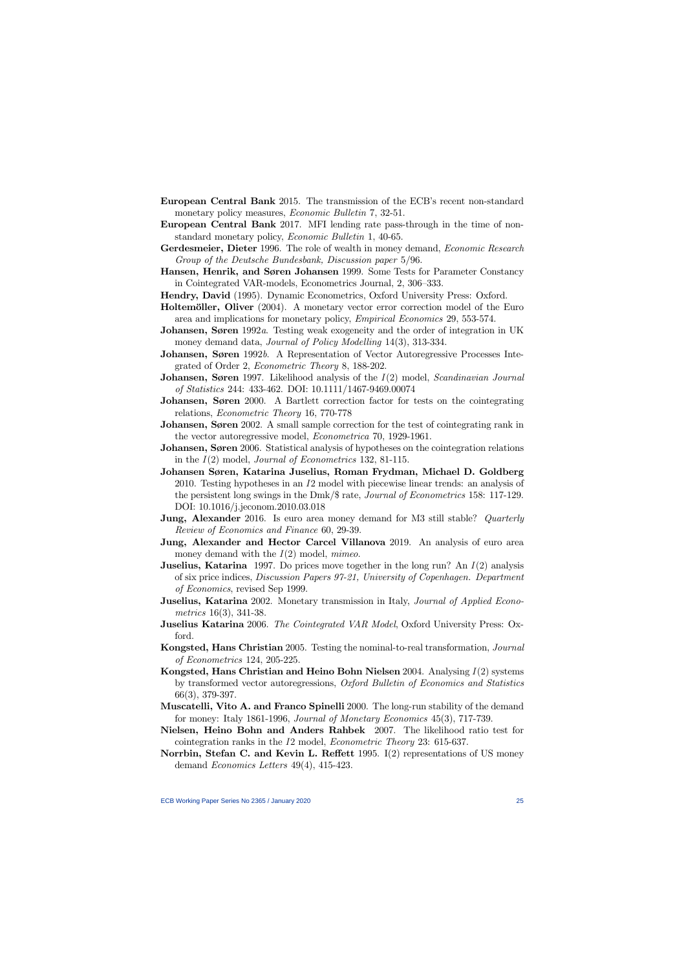- European Central Bank 2015. The transmission of the ECB's recent non-standard monetary policy measures, *Economic Bulletin* 7, 32-51.
- European Central Bank 2017. MFI lending rate pass-through in the time of nonstandard monetary policy, Economic Bulletin 1, 40-65.
- Gerdesmeier, Dieter 1996. The role of wealth in money demand, *Economic Research* Group of the Deutsche Bundesbank, Discussion paper 5/96.
- Hansen, Henrik, and Søren Johansen 1999. Some Tests for Parameter Constancy in Cointegrated VAR-models, Econometrics Journal, 2, 306–333.
- Hendry, David (1995). Dynamic Econometrics, Oxford University Press: Oxford.
- Holtemöller, Oliver (2004). A monetary vector error correction model of the Euro area and implications for monetary policy, Empirical Economics 29, 553-574.
- **Johansen, Søren** 1992a. Testing weak exogeneity and the order of integration in UK money demand data, *Journal of Policy Modelling* 14(3), 313-334.
- **Johansen, Søren** 1992b. A Representation of Vector Autoregressive Processes Integrated of Order 2, Econometric Theory 8, 188-202.
- **Johansen, Søren** 1997. Likelihood analysis of the  $I(2)$  model, Scandinavian Journal of Statistics 244: 433-462. DOI: 10.1111/1467-9469.00074
- **Johansen, Søren** 2000. A Bartlett correction factor for tests on the cointegrating relations, Econometric Theory 16, 770-778
- **Johansen, Søren** 2002. A small sample correction for the test of cointegrating rank in the vector autoregressive model, Econometrica 70, 1929-1961.
- Johansen, Søren 2006. Statistical analysis of hypotheses on the cointegration relations in the  $I(2)$  model, *Journal of Econometrics* 132, 81-115.
- Johansen Søren, Katarina Juselius, Roman Frydman, Michael D. Goldberg 2010. Testing hypotheses in an I2 model with piecewise linear trends: an analysis of the persistent long swings in the Dmk/ $\frac{2}{\pi}$  rate, *Journal of Econometrics* 158: 117-129. DOI: 10.1016/j.jeconom.2010.03.018
- **Jung, Alexander** 2016. Is euro area money demand for M3 still stable? *Quarterly* Review of Economics and Finance 60, 29-39.
- Jung, Alexander and Hector Carcel Villanova 2019. An analysis of euro area money demand with the  $I(2)$  model, *mimeo*.
- **Juselius, Katarina** 1997. Do prices move together in the long run? An  $I(2)$  analysis of six price indices, Discussion Papers 97-21, University of Copenhagen. Department of Economics, revised Sep 1999.
- **Juselius, Katarina** 2002. Monetary transmission in Italy, *Journal of Applied Econo*metrics 16(3), 341-38.
- **Juselius Katarina** 2006. The Cointegrated VAR Model, Oxford University Press: Oxford.
- Kongsted, Hans Christian 2005. Testing the nominal-to-real transformation, Journal of Econometrics 124, 205-225.
- Kongsted, Hans Christian and Heino Bohn Nielsen  $2004$ . Analysing  $I(2)$  systems by transformed vector autoregressions, Oxford Bulletin of Economics and Statistics 66(3), 379-397.
- Muscatelli, Vito A. and Franco Spinelli 2000. The long-run stability of the demand for money: Italy 1861-1996, Journal of Monetary Economics 45(3), 717-739.
- Nielsen, Heino Bohn and Anders Rahbek 2007. The likelihood ratio test for cointegration ranks in the I2 model, Econometric Theory 23: 615-637.
- Norrbin, Stefan C. and Kevin L. Reflett 1995.  $I(2)$  representations of US money demand Economics Letters 49(4), 415-423.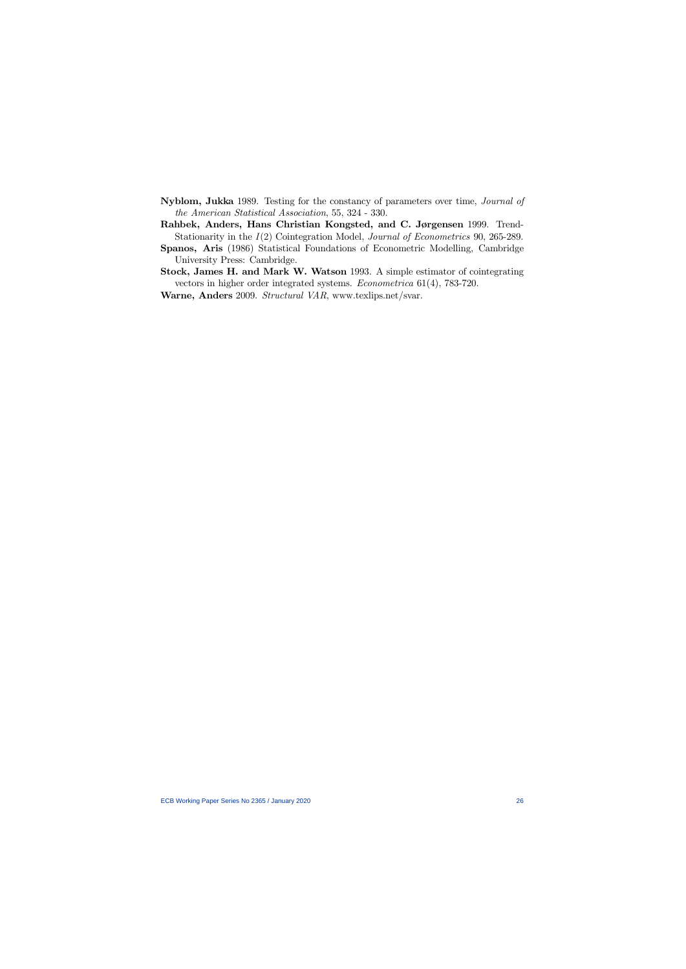- Nyblom, Jukka 1989. Testing for the constancy of parameters over time, Journal of the American Statistical Association, 55, 324 - 330.
- Rahbek, Anders, Hans Christian Kongsted, and C. Jørgensen 1999. Trend-Stationarity in the  $I(2)$  Cointegration Model, *Journal of Econometrics* 90, 265-289.
- Spanos, Aris (1986) Statistical Foundations of Econometric Modelling, Cambridge University Press: Cambridge.
- Stock, James H. and Mark W. Watson 1993. A simple estimator of cointegrating vectors in higher order integrated systems. Econometrica 61(4), 783-720.
- Warne, Anders 2009. Structural VAR, www.texlips.net/svar.